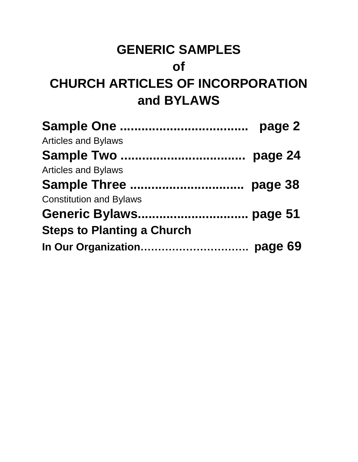### **GENERIC SAMPLES**

### **of**

## **CHURCH ARTICLES OF INCORPORATION and BYLAWS**

|                                   | page 2  |
|-----------------------------------|---------|
| <b>Articles and Bylaws</b>        |         |
| <b>Sample Two </b>                | page 24 |
| <b>Articles and Bylaws</b>        |         |
| Sample Three                      | page 38 |
| <b>Constitution and Bylaws</b>    |         |
|                                   |         |
| <b>Steps to Planting a Church</b> |         |
|                                   |         |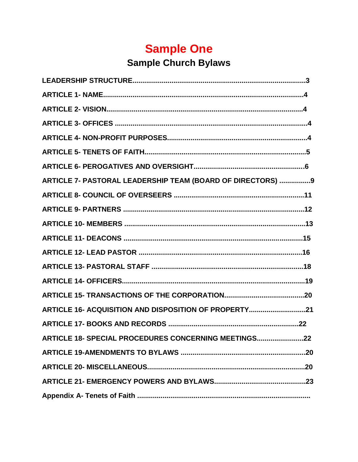## **Sample One**

### **Sample Church Bylaws**

| ARTICLE 7- PASTORAL LEADERSHIP TEAM (BOARD OF DIRECTORS) 9 |
|------------------------------------------------------------|
|                                                            |
|                                                            |
|                                                            |
|                                                            |
|                                                            |
|                                                            |
|                                                            |
|                                                            |
| ARTICLE 16- ACQUISITION AND DISPOSITION OF PROPERTY21      |
|                                                            |
| ARTICLE 18- SPECIAL PROCEDURES CONCERNING MEETINGS22       |
|                                                            |
|                                                            |
|                                                            |
|                                                            |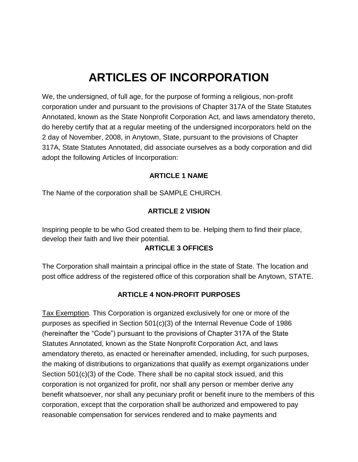### **ARTICLES OF INCORPORATION**

We, the undersigned, of full age, for the purpose of forming a religious, non-profit corporation under and pursuant to the provisions of Chapter 317A of the State Statutes Annotated, known as the State Nonprofit Corporation Act, and laws amendatory thereto, do hereby certify that at a regular meeting of the undersigned incorporators held on the 2 day of November, 2008, in Anytown, State, pursuant to the provisions of Chapter 317A, State Statutes Annotated, did associate ourselves as a body corporation and did adopt the following Articles of Incorporation:

#### **ARTICLE 1 NAME**

The Name of the corporation shall be SAMPLE CHURCH.

### **ARTICLE 2 VISION**

Inspiring people to be who God created them to be. Helping them to find their place, develop their faith and live their potential.

#### **ARTICLE 3 OFFICES**

The Corporation shall maintain a principal office in the state of State. The location and post office address of the registered office of this corporation shall be Anytown, STATE.

### **ARTICLE 4 NON-PROFIT PURPOSES**

Tax Exemption. This Corporation is organized exclusively for one or more of the purposes as specified in Section 501(c)(3) of the Internal Revenue Code of 1986 (hereinafter the "Code") pursuant to the provisions of Chapter 317A of the State Statutes Annotated, known as the State Nonprofit Corporation Act, and laws amendatory thereto, as enacted or hereinafter amended, including, for such purposes, the making of distributions to organizations that qualify as exempt organizations under Section 501(c)(3) of the Code. There shall be no capital stock issued, and this corporation is not organized for profit, nor shall any person or member derive any benefit whatsoever, nor shall any pecuniary profit or benefit inure to the members of this corporation, except that the corporation shall be authorized and empowered to pay reasonable compensation for services rendered and to make payments and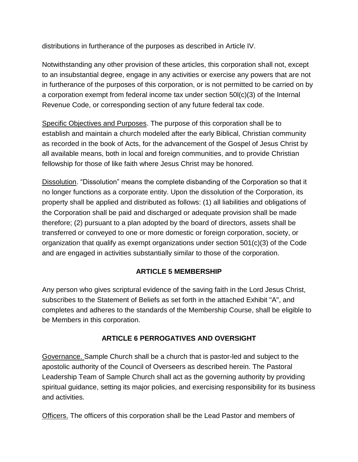distributions in furtherance of the purposes as described in Article IV.

Notwithstanding any other provision of these articles, this corporation shall not, except to an insubstantial degree, engage in any activities or exercise any powers that are not in furtherance of the purposes of this corporation, or is not permitted to be carried on by a corporation exempt from federal income tax under section 50l(c)(3) of the Internal Revenue Code, or corresponding section of any future federal tax code.

Specific Objectives and Purposes. The purpose of this corporation shall be to establish and maintain a church modeled after the early Biblical, Christian community as recorded in the book of Acts, for the advancement of the Gospel of Jesus Christ by all available means, both in local and foreign communities, and to provide Christian fellowship for those of like faith where Jesus Christ may be honored.

Dissolution. "Dissolution" means the complete disbanding of the Corporation so that it no longer functions as a corporate entity. Upon the dissolution of the Corporation, its property shall be applied and distributed as follows: (1) all liabilities and obligations of the Corporation shall be paid and discharged or adequate provision shall be made therefore; (2) pursuant to a plan adopted by the board of directors, assets shall be transferred or conveyed to one or more domestic or foreign corporation, society, or organization that qualify as exempt organizations under section 501(c)(3) of the Code and are engaged in activities substantially similar to those of the corporation.

### **ARTICLE 5 MEMBERSHIP**

Any person who gives scriptural evidence of the saving faith in the Lord Jesus Christ, subscribes to the Statement of Beliefs as set forth in the attached Exhibit "A", and completes and adheres to the standards of the Membership Course, shall be eligible to be Members in this corporation.

### **ARTICLE 6 PERROGATIVES AND OVERSIGHT**

Governance. Sample Church shall be a church that is pastor-led and subject to the apostolic authority of the Council of Overseers as described herein. The Pastoral Leadership Team of Sample Church shall act as the governing authority by providing spiritual guidance, setting its major policies, and exercising responsibility for its business and activities.

Officers. The officers of this corporation shall be the Lead Pastor and members of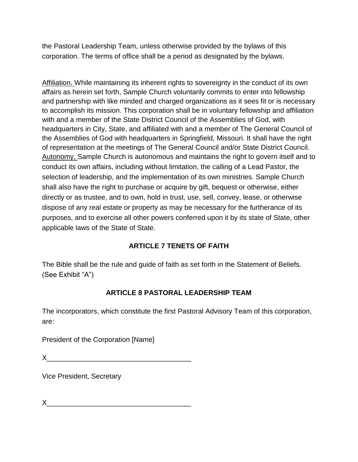the Pastoral Leadership Team, unless otherwise provided by the bylaws of this corporation. The terms of office shall be a period as designated by the bylaws.

Affiliation. While maintaining its inherent rights to sovereignty in the conduct of its own affairs as herein set forth, Sample Church voluntarily commits to enter into fellowship and partnership with like minded and charged organizations as it sees fit or is necessary to accomplish its mission. This corporation shall be in voluntary fellowship and affiliation with and a member of the State District Council of the Assemblies of God, with headquarters in City, State, and affiliated with and a member of The General Council of the Assemblies of God with headquarters in Springfield, Missouri. It shall have the right of representation at the meetings of The General Council and/or State District Council. Autonomy. Sample Church is autonomous and maintains the right to govern itself and to conduct its own affairs, including without limitation, the calling of a Lead Pastor, the selection of leadership, and the implementation of its own ministries. Sample Church shall also have the right to purchase or acquire by gift, bequest or otherwise, either directly or as trustee, and to own, hold in trust, use, sell, convey, lease, or otherwise dispose of any real estate or property as may be necessary for the furtherance of its purposes, and to exercise all other powers conferred upon it by its state of State, other applicable laws of the State of State.

### **ARTICLE 7 TENETS OF FAITH**

The Bible shall be the rule and guide of faith as set forth in the Statement of Beliefs. (See Exhibit "A")

### **ARTICLE 8 PASTORAL LEADERSHIP TEAM**

The incorporators, which constitute the first Pastoral Advisory Team of this corporation, are:

President of the Corporation [Name]

 $X$  and the set of the set of the set of the set of the set of the set of the set of the set of the set of the set of the set of the set of the set of the set of the set of the set of the set of the set of the set of the

Vice President, Secretary

 $X$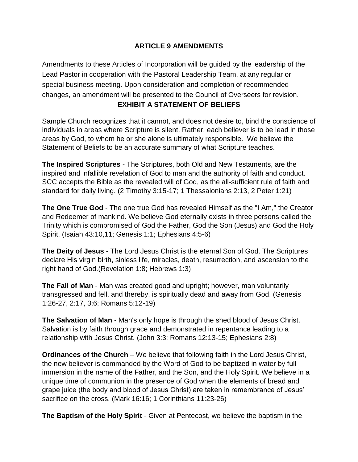### **ARTICLE 9 AMENDMENTS**

Amendments to these Articles of Incorporation will be guided by the leadership of the Lead Pastor in cooperation with the Pastoral Leadership Team, at any regular or special business meeting. Upon consideration and completion of recommended changes, an amendment will be presented to the Council of Overseers for revision.

### **EXHIBIT A STATEMENT OF BELIEFS**

Sample Church recognizes that it cannot, and does not desire to, bind the conscience of individuals in areas where Scripture is silent. Rather, each believer is to be lead in those areas by God, to whom he or she alone is ultimately responsible. We believe the Statement of Beliefs to be an accurate summary of what Scripture teaches.

**The Inspired Scriptures** - The Scriptures, both Old and New Testaments, are the inspired and infallible revelation of God to man and the authority of faith and conduct. SCC accepts the Bible as the revealed will of God, as the all-sufficient rule of faith and standard for daily living. (2 Timothy 3:15-17; 1 Thessalonians 2:13, 2 Peter 1:21)

**The One True God** - The one true God has revealed Himself as the "I Am," the Creator and Redeemer of mankind. We believe God eternally exists in three persons called the Trinity which is compromised of God the Father, God the Son (Jesus) and God the Holy Spirit. (Isaiah 43:10,11; Genesis 1:1; Ephesians 4:5-6)

**The Deity of Jesus** - The Lord Jesus Christ is the eternal Son of God. The Scriptures declare His virgin birth, sinless life, miracles, death, resurrection, and ascension to the right hand of God.(Revelation 1:8; Hebrews 1:3)

**The Fall of Man** - Man was created good and upright; however, man voluntarily transgressed and fell, and thereby, is spiritually dead and away from God. (Genesis 1:26-27, 2:17, 3:6; Romans 5:12-19)

**The Salvation of Man** - Man's only hope is through the shed blood of Jesus Christ. Salvation is by faith through grace and demonstrated in repentance leading to a relationship with Jesus Christ. (John 3:3; Romans 12:13-15; Ephesians 2:8)

**Ordinances of the Church** – We believe that following faith in the Lord Jesus Christ, the new believer is commanded by the Word of God to be baptized in water by full immersion in the name of the Father, and the Son, and the Holy Spirit. We believe in a unique time of communion in the presence of God when the elements of bread and grape juice (the body and blood of Jesus Christ) are taken in remembrance of Jesus' sacrifice on the cross. (Mark 16:16; 1 Corinthians 11:23-26)

**The Baptism of the Holy Spirit** - Given at Pentecost, we believe the baptism in the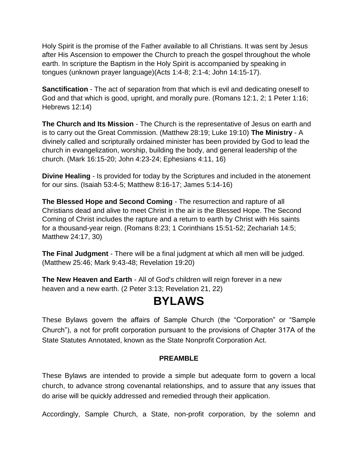Holy Spirit is the promise of the Father available to all Christians. It was sent by Jesus after His Ascension to empower the Church to preach the gospel throughout the whole earth. In scripture the Baptism in the Holy Spirit is accompanied by speaking in tongues (unknown prayer language)(Acts 1:4-8; 2:1-4; John 14:15-17).

**Sanctification** - The act of separation from that which is evil and dedicating oneself to God and that which is good, upright, and morally pure. (Romans 12:1, 2; 1 Peter 1:16; Hebrews 12:14)

**The Church and Its Mission** - The Church is the representative of Jesus on earth and is to carry out the Great Commission. (Matthew 28:19; Luke 19:10) **The Ministry** - A divinely called and scripturally ordained minister has been provided by God to lead the church in evangelization, worship, building the body, and general leadership of the church. (Mark 16:15-20; John 4:23-24; Ephesians 4:11, 16)

**Divine Healing** - Is provided for today by the Scriptures and included in the atonement for our sins. (Isaiah 53:4-5; Matthew 8:16-17; James 5:14-16)

**The Blessed Hope and Second Coming** - The resurrection and rapture of all Christians dead and alive to meet Christ in the air is the Blessed Hope. The Second Coming of Christ includes the rapture and a return to earth by Christ with His saints for a thousand-year reign. (Romans 8:23; 1 Corinthians 15:51-52; Zechariah 14:5; Matthew 24:17, 30)

**The Final Judgment** - There will be a final judgment at which all men will be judged. (Matthew 25:46; Mark 9:43-48; Revelation 19:20)

**The New Heaven and Earth** - All of God's children will reign forever in a new heaven and a new earth. (2 Peter 3:13; Revelation 21, 22)

### **BYLAWS**

These Bylaws govern the affairs of Sample Church (the "Corporation" or "Sample Church"), a not for profit corporation pursuant to the provisions of Chapter 317A of the State Statutes Annotated, known as the State Nonprofit Corporation Act.

#### **PREAMBLE**

These Bylaws are intended to provide a simple but adequate form to govern a local church, to advance strong covenantal relationships, and to assure that any issues that do arise will be quickly addressed and remedied through their application.

Accordingly, Sample Church, a State, non-profit corporation, by the solemn and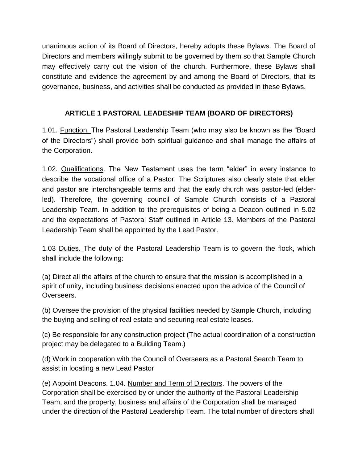unanimous action of its Board of Directors, hereby adopts these Bylaws. The Board of Directors and members willingly submit to be governed by them so that Sample Church may effectively carry out the vision of the church. Furthermore, these Bylaws shall constitute and evidence the agreement by and among the Board of Directors, that its governance, business, and activities shall be conducted as provided in these Bylaws.

### **ARTICLE 1 PASTORAL LEADESHIP TEAM (BOARD OF DIRECTORS)**

1.01. Function. The Pastoral Leadership Team (who may also be known as the "Board of the Directors") shall provide both spiritual guidance and shall manage the affairs of the Corporation.

1.02. Qualifications. The New Testament uses the term "elder" in every instance to describe the vocational office of a Pastor. The Scriptures also clearly state that elder and pastor are interchangeable terms and that the early church was pastor-led (elderled). Therefore, the governing council of Sample Church consists of a Pastoral Leadership Team. In addition to the prerequisites of being a Deacon outlined in 5.02 and the expectations of Pastoral Staff outlined in Article 13. Members of the Pastoral Leadership Team shall be appointed by the Lead Pastor.

1.03 Duties. The duty of the Pastoral Leadership Team is to govern the flock, which shall include the following:

(a) Direct all the affairs of the church to ensure that the mission is accomplished in a spirit of unity, including business decisions enacted upon the advice of the Council of Overseers.

(b) Oversee the provision of the physical facilities needed by Sample Church, including the buying and selling of real estate and securing real estate leases.

(c) Be responsible for any construction project (The actual coordination of a construction project may be delegated to a Building Team.)

(d) Work in cooperation with the Council of Overseers as a Pastoral Search Team to assist in locating a new Lead Pastor

(e) Appoint Deacons. 1.04. Number and Term of Directors. The powers of the Corporation shall be exercised by or under the authority of the Pastoral Leadership Team, and the property, business and affairs of the Corporation shall be managed under the direction of the Pastoral Leadership Team. The total number of directors shall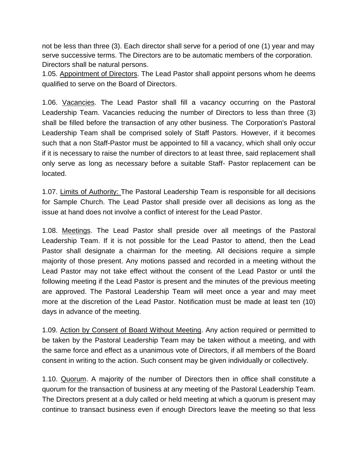not be less than three (3). Each director shall serve for a period of one (1) year and may serve successive terms. The Directors are to be automatic members of the corporation. Directors shall be natural persons.

1.05. Appointment of Directors. The Lead Pastor shall appoint persons whom he deems qualified to serve on the Board of Directors.

1.06. Vacancies. The Lead Pastor shall fill a vacancy occurring on the Pastoral Leadership Team. Vacancies reducing the number of Directors to less than three (3) shall be filled before the transaction of any other business. The Corporation's Pastoral Leadership Team shall be comprised solely of Staff Pastors. However, if it becomes such that a non Staff-Pastor must be appointed to fill a vacancy, which shall only occur if it is necessary to raise the number of directors to at least three, said replacement shall only serve as long as necessary before a suitable Staff- Pastor replacement can be located.

1.07. Limits of Authority: The Pastoral Leadership Team is responsible for all decisions for Sample Church. The Lead Pastor shall preside over all decisions as long as the issue at hand does not involve a conflict of interest for the Lead Pastor.

1.08. Meetings. The Lead Pastor shall preside over all meetings of the Pastoral Leadership Team. If it is not possible for the Lead Pastor to attend, then the Lead Pastor shall designate a chairman for the meeting. All decisions require a simple majority of those present. Any motions passed and recorded in a meeting without the Lead Pastor may not take effect without the consent of the Lead Pastor or until the following meeting if the Lead Pastor is present and the minutes of the previous meeting are approved. The Pastoral Leadership Team will meet once a year and may meet more at the discretion of the Lead Pastor. Notification must be made at least ten (10) days in advance of the meeting.

1.09. Action by Consent of Board Without Meeting. Any action required or permitted to be taken by the Pastoral Leadership Team may be taken without a meeting, and with the same force and effect as a unanimous vote of Directors, if all members of the Board consent in writing to the action. Such consent may be given individually or collectively.

1.10. Quorum. A majority of the number of Directors then in office shall constitute a quorum for the transaction of business at any meeting of the Pastoral Leadership Team. The Directors present at a duly called or held meeting at which a quorum is present may continue to transact business even if enough Directors leave the meeting so that less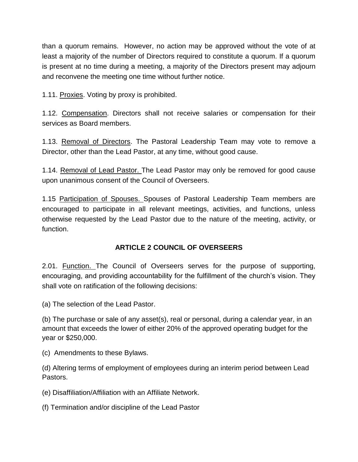than a quorum remains. However, no action may be approved without the vote of at least a majority of the number of Directors required to constitute a quorum. If a quorum is present at no time during a meeting, a majority of the Directors present may adjourn and reconvene the meeting one time without further notice.

1.11. Proxies. Voting by proxy is prohibited.

1.12. Compensation. Directors shall not receive salaries or compensation for their services as Board members.

1.13. Removal of Directors. The Pastoral Leadership Team may vote to remove a Director, other than the Lead Pastor, at any time, without good cause.

1.14. Removal of Lead Pastor. The Lead Pastor may only be removed for good cause upon unanimous consent of the Council of Overseers.

1.15 Participation of Spouses. Spouses of Pastoral Leadership Team members are encouraged to participate in all relevant meetings, activities, and functions, unless otherwise requested by the Lead Pastor due to the nature of the meeting, activity, or function.

### **ARTICLE 2 COUNCIL OF OVERSEERS**

2.01. Function. The Council of Overseers serves for the purpose of supporting, encouraging, and providing accountability for the fulfillment of the church's vision. They shall vote on ratification of the following decisions:

(a) The selection of the Lead Pastor.

(b) The purchase or sale of any asset(s), real or personal, during a calendar year, in an amount that exceeds the lower of either 20% of the approved operating budget for the year or \$250,000.

(c) Amendments to these Bylaws.

(d) Altering terms of employment of employees during an interim period between Lead Pastors.

(e) Disaffiliation/Affiliation with an Affiliate Network.

(f) Termination and/or discipline of the Lead Pastor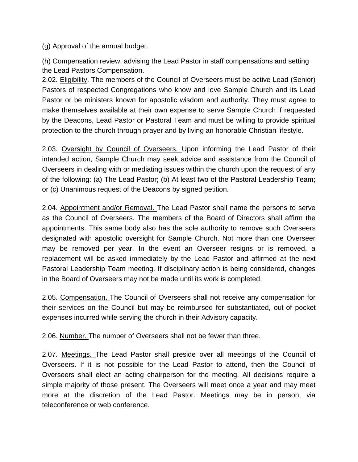(g) Approval of the annual budget.

(h) Compensation review, advising the Lead Pastor in staff compensations and setting the Lead Pastors Compensation.

2.02. Eligibility. The members of the Council of Overseers must be active Lead (Senior) Pastors of respected Congregations who know and love Sample Church and its Lead Pastor or be ministers known for apostolic wisdom and authority. They must agree to make themselves available at their own expense to serve Sample Church if requested by the Deacons, Lead Pastor or Pastoral Team and must be willing to provide spiritual protection to the church through prayer and by living an honorable Christian lifestyle.

2.03. Oversight by Council of Overseers. Upon informing the Lead Pastor of their intended action, Sample Church may seek advice and assistance from the Council of Overseers in dealing with or mediating issues within the church upon the request of any of the following: (a) The Lead Pastor; (b) At least two of the Pastoral Leadership Team; or (c) Unanimous request of the Deacons by signed petition.

2.04. Appointment and/or Removal. The Lead Pastor shall name the persons to serve as the Council of Overseers. The members of the Board of Directors shall affirm the appointments. This same body also has the sole authority to remove such Overseers designated with apostolic oversight for Sample Church. Not more than one Overseer may be removed per year. In the event an Overseer resigns or is removed, a replacement will be asked immediately by the Lead Pastor and affirmed at the next Pastoral Leadership Team meeting. If disciplinary action is being considered, changes in the Board of Overseers may not be made until its work is completed.

2.05. Compensation. The Council of Overseers shall not receive any compensation for their services on the Council but may be reimbursed for substantiated, out-of pocket expenses incurred while serving the church in their Advisory capacity.

2.06. Number. The number of Overseers shall not be fewer than three.

2.07. Meetings. The Lead Pastor shall preside over all meetings of the Council of Overseers. If it is not possible for the Lead Pastor to attend, then the Council of Overseers shall elect an acting chairperson for the meeting. All decisions require a simple majority of those present. The Overseers will meet once a year and may meet more at the discretion of the Lead Pastor. Meetings may be in person, via teleconference or web conference.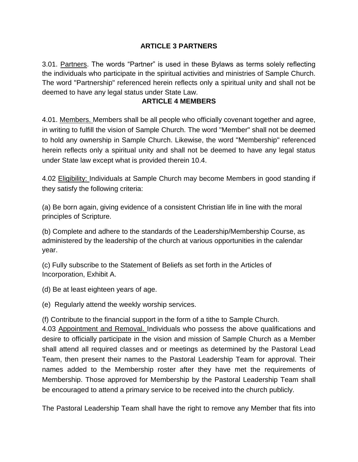### **ARTICLE 3 PARTNERS**

3.01. Partners. The words "Partner" is used in these Bylaws as terms solely reflecting the individuals who participate in the spiritual activities and ministries of Sample Church. The word "Partnership" referenced herein reflects only a spiritual unity and shall not be deemed to have any legal status under State Law.

#### **ARTICLE 4 MEMBERS**

4.01. Members. Members shall be all people who officially covenant together and agree, in writing to fulfill the vision of Sample Church. The word "Member" shall not be deemed to hold any ownership in Sample Church. Likewise, the word "Membership" referenced herein reflects only a spiritual unity and shall not be deemed to have any legal status under State law except what is provided therein 10.4.

4.02 Eligibility: Individuals at Sample Church may become Members in good standing if they satisfy the following criteria:

(a) Be born again, giving evidence of a consistent Christian life in line with the moral principles of Scripture.

(b) Complete and adhere to the standards of the Leadership/Membership Course, as administered by the leadership of the church at various opportunities in the calendar year.

(c) Fully subscribe to the Statement of Beliefs as set forth in the Articles of Incorporation, Exhibit A.

(d) Be at least eighteen years of age.

(e) Regularly attend the weekly worship services.

(f) Contribute to the financial support in the form of a tithe to Sample Church.

4.03 Appointment and Removal. Individuals who possess the above qualifications and desire to officially participate in the vision and mission of Sample Church as a Member shall attend all required classes and or meetings as determined by the Pastoral Lead Team, then present their names to the Pastoral Leadership Team for approval. Their names added to the Membership roster after they have met the requirements of Membership. Those approved for Membership by the Pastoral Leadership Team shall be encouraged to attend a primary service to be received into the church publicly.

The Pastoral Leadership Team shall have the right to remove any Member that fits into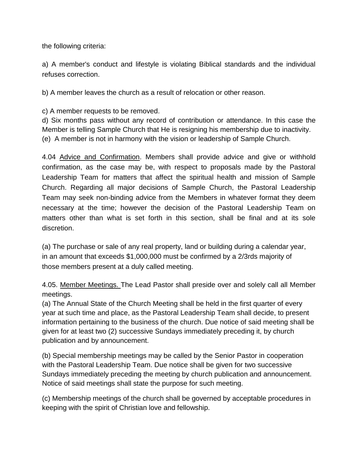the following criteria:

a) A member's conduct and lifestyle is violating Biblical standards and the individual refuses correction.

b) A member leaves the church as a result of relocation or other reason.

c) A member requests to be removed.

d) Six months pass without any record of contribution or attendance. In this case the Member is telling Sample Church that He is resigning his membership due to inactivity. (e) A member is not in harmony with the vision or leadership of Sample Church.

4.04 Advice and Confirmation. Members shall provide advice and give or withhold confirmation, as the case may be, with respect to proposals made by the Pastoral Leadership Team for matters that affect the spiritual health and mission of Sample Church. Regarding all major decisions of Sample Church, the Pastoral Leadership Team may seek non-binding advice from the Members in whatever format they deem necessary at the time; however the decision of the Pastoral Leadership Team on matters other than what is set forth in this section, shall be final and at its sole discretion.

(a) The purchase or sale of any real property, land or building during a calendar year, in an amount that exceeds \$1,000,000 must be confirmed by a 2/3rds majority of those members present at a duly called meeting.

4.05. Member Meetings. The Lead Pastor shall preside over and solely call all Member meetings.

(a) The Annual State of the Church Meeting shall be held in the first quarter of every year at such time and place, as the Pastoral Leadership Team shall decide, to present information pertaining to the business of the church. Due notice of said meeting shall be given for at least two (2) successive Sundays immediately preceding it, by church publication and by announcement.

(b) Special membership meetings may be called by the Senior Pastor in cooperation with the Pastoral Leadership Team. Due notice shall be given for two successive Sundays immediately preceding the meeting by church publication and announcement. Notice of said meetings shall state the purpose for such meeting.

(c) Membership meetings of the church shall be governed by acceptable procedures in keeping with the spirit of Christian love and fellowship.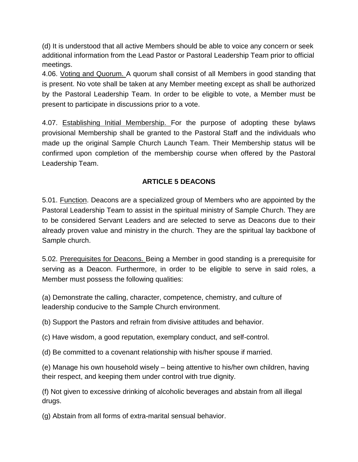(d) It is understood that all active Members should be able to voice any concern or seek additional information from the Lead Pastor or Pastoral Leadership Team prior to official meetings.

4.06. Voting and Quorum. A quorum shall consist of all Members in good standing that is present. No vote shall be taken at any Member meeting except as shall be authorized by the Pastoral Leadership Team. In order to be eligible to vote, a Member must be present to participate in discussions prior to a vote.

4.07. Establishing Initial Membership. For the purpose of adopting these bylaws provisional Membership shall be granted to the Pastoral Staff and the individuals who made up the original Sample Church Launch Team. Their Membership status will be confirmed upon completion of the membership course when offered by the Pastoral Leadership Team.

### **ARTICLE 5 DEACONS**

5.01. Function. Deacons are a specialized group of Members who are appointed by the Pastoral Leadership Team to assist in the spiritual ministry of Sample Church. They are to be considered Servant Leaders and are selected to serve as Deacons due to their already proven value and ministry in the church. They are the spiritual lay backbone of Sample church.

5.02. Prerequisites for Deacons. Being a Member in good standing is a prerequisite for serving as a Deacon. Furthermore, in order to be eligible to serve in said roles, a Member must possess the following qualities:

(a) Demonstrate the calling, character, competence, chemistry, and culture of leadership conducive to the Sample Church environment.

(b) Support the Pastors and refrain from divisive attitudes and behavior.

(c) Have wisdom, a good reputation, exemplary conduct, and self-control.

(d) Be committed to a covenant relationship with his/her spouse if married.

(e) Manage his own household wisely – being attentive to his/her own children, having their respect, and keeping them under control with true dignity.

(f) Not given to excessive drinking of alcoholic beverages and abstain from all illegal drugs.

(g) Abstain from all forms of extra-marital sensual behavior.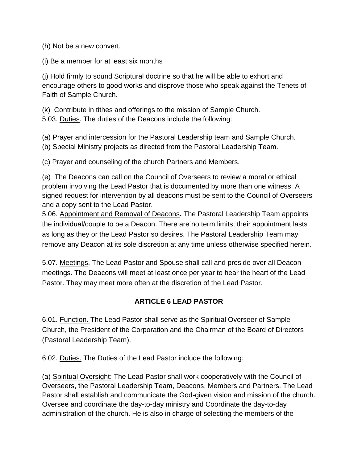(h) Not be a new convert.

(i) Be a member for at least six months

(j) Hold firmly to sound Scriptural doctrine so that he will be able to exhort and encourage others to good works and disprove those who speak against the Tenets of Faith of Sample Church.

(k) Contribute in tithes and offerings to the mission of Sample Church. 5.03. Duties. The duties of the Deacons include the following:

(a) Prayer and intercession for the Pastoral Leadership team and Sample Church.

(b) Special Ministry projects as directed from the Pastoral Leadership Team.

(c) Prayer and counseling of the church Partners and Members.

(e) The Deacons can call on the Council of Overseers to review a moral or ethical problem involving the Lead Pastor that is documented by more than one witness. A signed request for intervention by all deacons must be sent to the Council of Overseers and a copy sent to the Lead Pastor.

5.06. Appointment and Removal of Deacons**.** The Pastoral Leadership Team appoints the individual/couple to be a Deacon. There are no term limits; their appointment lasts as long as they or the Lead Pastor so desires. The Pastoral Leadership Team may remove any Deacon at its sole discretion at any time unless otherwise specified herein.

5.07. Meetings. The Lead Pastor and Spouse shall call and preside over all Deacon meetings. The Deacons will meet at least once per year to hear the heart of the Lead Pastor. They may meet more often at the discretion of the Lead Pastor.

### **ARTICLE 6 LEAD PASTOR**

6.01. Function. The Lead Pastor shall serve as the Spiritual Overseer of Sample Church, the President of the Corporation and the Chairman of the Board of Directors (Pastoral Leadership Team).

6.02. Duties. The Duties of the Lead Pastor include the following:

(a) Spiritual Oversight: The Lead Pastor shall work cooperatively with the Council of Overseers, the Pastoral Leadership Team, Deacons, Members and Partners. The Lead Pastor shall establish and communicate the God-given vision and mission of the church. Oversee and coordinate the day-to-day ministry and Coordinate the day-to-day administration of the church. He is also in charge of selecting the members of the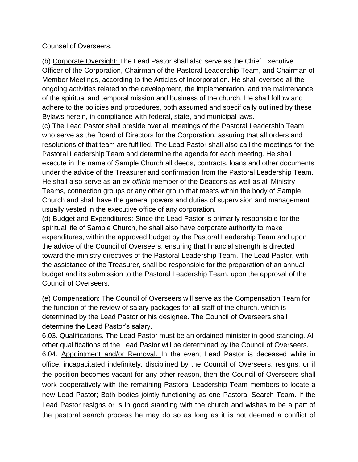Counsel of Overseers.

(b) Corporate Oversight: The Lead Pastor shall also serve as the Chief Executive Officer of the Corporation, Chairman of the Pastoral Leadership Team, and Chairman of Member Meetings, according to the Articles of Incorporation. He shall oversee all the ongoing activities related to the development, the implementation, and the maintenance of the spiritual and temporal mission and business of the church. He shall follow and adhere to the policies and procedures, both assumed and specifically outlined by these Bylaws herein, in compliance with federal, state, and municipal laws.

(c) The Lead Pastor shall preside over all meetings of the Pastoral Leadership Team who serve as the Board of Directors for the Corporation, assuring that all orders and resolutions of that team are fulfilled. The Lead Pastor shall also call the meetings for the Pastoral Leadership Team and determine the agenda for each meeting. He shall execute in the name of Sample Church all deeds, contracts, loans and other documents under the advice of the Treasurer and confirmation from the Pastoral Leadership Team. He shall also serve as an *ex-officio* member of the Deacons as well as all Ministry Teams, connection groups or any other group that meets within the body of Sample Church and shall have the general powers and duties of supervision and management usually vested in the executive office of any corporation.

(d) Budget and Expenditures: Since the Lead Pastor is primarily responsible for the spiritual life of Sample Church, he shall also have corporate authority to make expenditures, within the approved budget by the Pastoral Leadership Team and upon the advice of the Council of Overseers, ensuring that financial strength is directed toward the ministry directives of the Pastoral Leadership Team. The Lead Pastor, with the assistance of the Treasurer, shall be responsible for the preparation of an annual budget and its submission to the Pastoral Leadership Team, upon the approval of the Council of Overseers.

(e) Compensation: The Council of Overseers will serve as the Compensation Team for the function of the review of salary packages for all staff of the church, which is determined by the Lead Pastor or his designee. The Council of Overseers shall determine the Lead Pastor's salary.

6.03. Qualifications. The Lead Pastor must be an ordained minister in good standing. All other qualifications of the Lead Pastor will be determined by the Council of Overseers.

6.04. Appointment and/or Removal. In the event Lead Pastor is deceased while in office, incapacitated indefinitely, disciplined by the Council of Overseers, resigns, or if the position becomes vacant for any other reason, then the Council of Overseers shall work cooperatively with the remaining Pastoral Leadership Team members to locate a new Lead Pastor; Both bodies jointly functioning as one Pastoral Search Team. If the Lead Pastor resigns or is in good standing with the church and wishes to be a part of the pastoral search process he may do so as long as it is not deemed a conflict of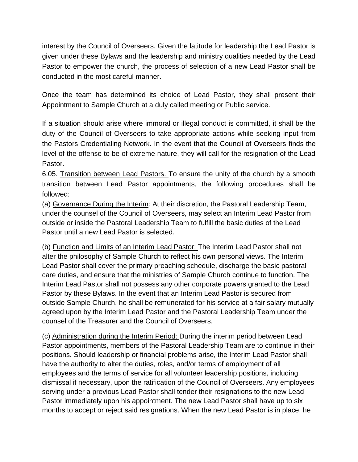interest by the Council of Overseers. Given the latitude for leadership the Lead Pastor is given under these Bylaws and the leadership and ministry qualities needed by the Lead Pastor to empower the church, the process of selection of a new Lead Pastor shall be conducted in the most careful manner.

Once the team has determined its choice of Lead Pastor, they shall present their Appointment to Sample Church at a duly called meeting or Public service.

If a situation should arise where immoral or illegal conduct is committed, it shall be the duty of the Council of Overseers to take appropriate actions while seeking input from the Pastors Credentialing Network. In the event that the Council of Overseers finds the level of the offense to be of extreme nature, they will call for the resignation of the Lead Pastor.

6.05. Transition between Lead Pastors. To ensure the unity of the church by a smooth transition between Lead Pastor appointments, the following procedures shall be followed:

(a) Governance During the Interim: At their discretion, the Pastoral Leadership Team, under the counsel of the Council of Overseers, may select an Interim Lead Pastor from outside or inside the Pastoral Leadership Team to fulfill the basic duties of the Lead Pastor until a new Lead Pastor is selected.

(b) Function and Limits of an Interim Lead Pastor: The Interim Lead Pastor shall not alter the philosophy of Sample Church to reflect his own personal views. The Interim Lead Pastor shall cover the primary preaching schedule, discharge the basic pastoral care duties, and ensure that the ministries of Sample Church continue to function. The Interim Lead Pastor shall not possess any other corporate powers granted to the Lead Pastor by these Bylaws. In the event that an Interim Lead Pastor is secured from outside Sample Church, he shall be remunerated for his service at a fair salary mutually agreed upon by the Interim Lead Pastor and the Pastoral Leadership Team under the counsel of the Treasurer and the Council of Overseers.

(c) Administration during the Interim Period: During the interim period between Lead Pastor appointments, members of the Pastoral Leadership Team are to continue in their positions. Should leadership or financial problems arise, the Interim Lead Pastor shall have the authority to alter the duties, roles, and/or terms of employment of all employees and the terms of service for all volunteer leadership positions, including dismissal if necessary, upon the ratification of the Council of Overseers. Any employees serving under a previous Lead Pastor shall tender their resignations to the new Lead Pastor immediately upon his appointment. The new Lead Pastor shall have up to six months to accept or reject said resignations. When the new Lead Pastor is in place, he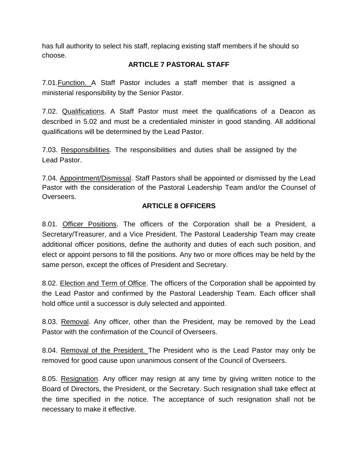has full authority to select his staff, replacing existing staff members if he should so choose.

### **ARTICLE 7 PASTORAL STAFF**

7.01.Function. A Staff Pastor includes a staff member that is assigned a ministerial responsibility by the Senior Pastor.

7.02. Qualifications. A Staff Pastor must meet the qualifications of a Deacon as described in 5.02 and must be a credentialed minister in good standing. All additional qualifications will be determined by the Lead Pastor.

7.03. Responsibilities. The responsibilities and duties shall be assigned by the Lead Pastor.

7.04. Appointment/Dismissal. Staff Pastors shall be appointed or dismissed by the Lead Pastor with the consideration of the Pastoral Leadership Team and/or the Counsel of Overseers.

### **ARTICLE 8 OFFICERS**

8.01. Officer Positions. The officers of the Corporation shall be a President, a Secretary/Treasurer, and a Vice President. The Pastoral Leadership Team may create additional officer positions, define the authority and duties of each such position, and elect or appoint persons to fill the positions. Any two or more offices may be held by the same person, except the offices of President and Secretary.

8.02. Election and Term of Office. The officers of the Corporation shall be appointed by the Lead Pastor and confirmed by the Pastoral Leadership Team. Each officer shall hold office until a successor is duly selected and appointed.

8.03. Removal. Any officer, other than the President, may be removed by the Lead Pastor with the confirmation of the Council of Overseers.

8.04. Removal of the President. The President who is the Lead Pastor may only be removed for good cause upon unanimous consent of the Council of Overseers.

8.05. Resignation. Any officer may resign at any time by giving written notice to the Board of Directors, the President, or the Secretary. Such resignation shall take effect at the time specified in the notice. The acceptance of such resignation shall not be necessary to make it effective.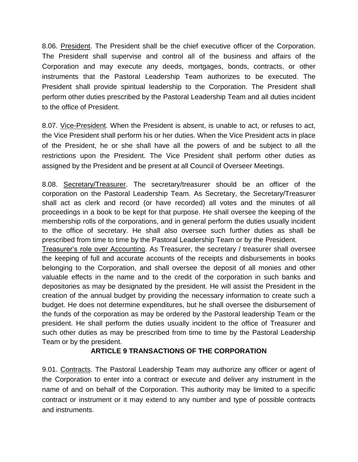8.06. President. The President shall be the chief executive officer of the Corporation. The President shall supervise and control all of the business and affairs of the Corporation and may execute any deeds, mortgages, bonds, contracts, or other instruments that the Pastoral Leadership Team authorizes to be executed. The President shall provide spiritual leadership to the Corporation. The President shall perform other duties prescribed by the Pastoral Leadership Team and all duties incident to the office of President.

8.07. Vice-President. When the President is absent, is unable to act, or refuses to act, the Vice President shall perform his or her duties. When the Vice President acts in place of the President, he or she shall have all the powers of and be subject to all the restrictions upon the President. The Vice President shall perform other duties as assigned by the President and be present at all Council of Overseer Meetings.

8.08. Secretary/Treasurer. The secretary/treasurer should be an officer of the corporation on the Pastoral Leadership Team. As Secretary, the Secretary/Treasurer shall act as clerk and record (or have recorded) all votes and the minutes of all proceedings in a book to be kept for that purpose. He shall oversee the keeping of the membership rolls of the corporations, and in general perform the duties usually incident to the office of secretary. He shall also oversee such further duties as shall be prescribed from time to time by the Pastoral Leadership Team or by the President.

Treasurer's role over Accounting. As Treasurer, the secretary / treasurer shall oversee the keeping of full and accurate accounts of the receipts and disbursements in books belonging to the Corporation, and shall oversee the deposit of all monies and other valuable effects in the name and to the credit of the corporation in such banks and depositories as may be designated by the president. He will assist the President in the creation of the annual budget by providing the necessary information to create such a budget. He does not determine expenditures, but he shall oversee the disbursement of the funds of the corporation as may be ordered by the Pastoral leadership Team or the president. He shall perform the duties usually incident to the office of Treasurer and such other duties as may be prescribed from time to time by the Pastoral Leadership Team or by the president.

### **ARTICLE 9 TRANSACTIONS OF THE CORPORATION**

9.01. Contracts. The Pastoral Leadership Team may authorize any officer or agent of the Corporation to enter into a contract or execute and deliver any instrument in the name of and on behalf of the Corporation. This authority may be limited to a specific contract or instrument or it may extend to any number and type of possible contracts and instruments.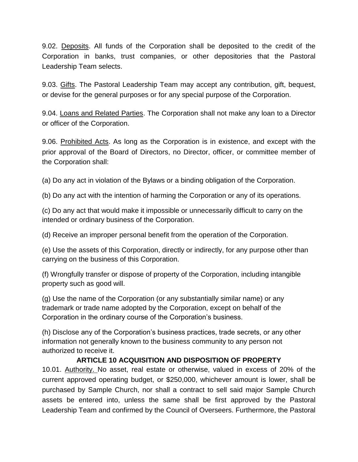9.02. Deposits. All funds of the Corporation shall be deposited to the credit of the Corporation in banks, trust companies, or other depositories that the Pastoral Leadership Team selects.

9.03. Gifts. The Pastoral Leadership Team may accept any contribution, gift, bequest, or devise for the general purposes or for any special purpose of the Corporation.

9.04. Loans and Related Parties. The Corporation shall not make any loan to a Director or officer of the Corporation.

9.06. Prohibited Acts. As long as the Corporation is in existence, and except with the prior approval of the Board of Directors, no Director, officer, or committee member of the Corporation shall:

(a) Do any act in violation of the Bylaws or a binding obligation of the Corporation.

(b) Do any act with the intention of harming the Corporation or any of its operations.

(c) Do any act that would make it impossible or unnecessarily difficult to carry on the intended or ordinary business of the Corporation.

(d) Receive an improper personal benefit from the operation of the Corporation.

(e) Use the assets of this Corporation, directly or indirectly, for any purpose other than carrying on the business of this Corporation.

(f) Wrongfully transfer or dispose of property of the Corporation, including intangible property such as good will.

(g) Use the name of the Corporation (or any substantially similar name) or any trademark or trade name adopted by the Corporation, except on behalf of the Corporation in the ordinary course of the Corporation's business.

(h) Disclose any of the Corporation's business practices, trade secrets, or any other information not generally known to the business community to any person not authorized to receive it.

### **ARTICLE 10 ACQUISITION AND DISPOSITION OF PROPERTY**

10.01. Authority. No asset, real estate or otherwise, valued in excess of 20% of the current approved operating budget, or \$250,000, whichever amount is lower, shall be purchased by Sample Church, nor shall a contract to sell said major Sample Church assets be entered into, unless the same shall be first approved by the Pastoral Leadership Team and confirmed by the Council of Overseers. Furthermore, the Pastoral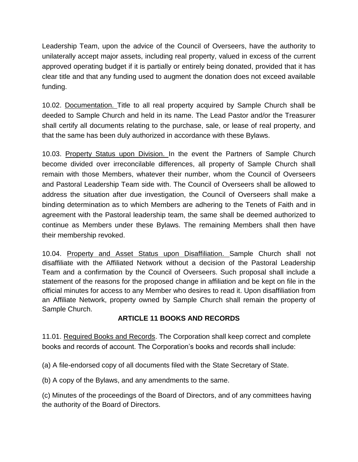Leadership Team, upon the advice of the Council of Overseers, have the authority to unilaterally accept major assets, including real property, valued in excess of the current approved operating budget if it is partially or entirely being donated, provided that it has clear title and that any funding used to augment the donation does not exceed available funding.

10.02. Documentation. Title to all real property acquired by Sample Church shall be deeded to Sample Church and held in its name. The Lead Pastor and/or the Treasurer shall certify all documents relating to the purchase, sale, or lease of real property, and that the same has been duly authorized in accordance with these Bylaws.

10.03. Property Status upon Division. In the event the Partners of Sample Church become divided over irreconcilable differences, all property of Sample Church shall remain with those Members, whatever their number, whom the Council of Overseers and Pastoral Leadership Team side with. The Council of Overseers shall be allowed to address the situation after due investigation, the Council of Overseers shall make a binding determination as to which Members are adhering to the Tenets of Faith and in agreement with the Pastoral leadership team, the same shall be deemed authorized to continue as Members under these Bylaws. The remaining Members shall then have their membership revoked.

10.04. Property and Asset Status upon Disaffiliation. Sample Church shall not disaffiliate with the Affiliated Network without a decision of the Pastoral Leadership Team and a confirmation by the Council of Overseers. Such proposal shall include a statement of the reasons for the proposed change in affiliation and be kept on file in the official minutes for access to any Member who desires to read it. Upon disaffiliation from an Affiliate Network, property owned by Sample Church shall remain the property of Sample Church.

### **ARTICLE 11 BOOKS AND RECORDS**

11.01. Required Books and Records. The Corporation shall keep correct and complete books and records of account. The Corporation's books and records shall include:

(a) A file-endorsed copy of all documents filed with the State Secretary of State.

(b) A copy of the Bylaws, and any amendments to the same.

(c) Minutes of the proceedings of the Board of Directors, and of any committees having the authority of the Board of Directors.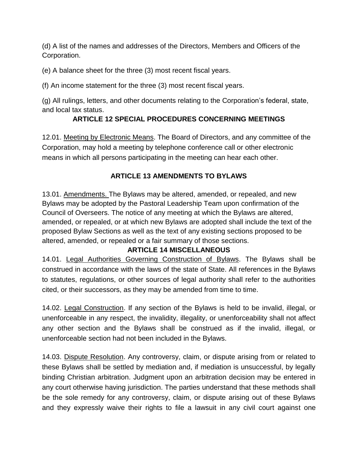(d) A list of the names and addresses of the Directors, Members and Officers of the Corporation.

(e) A balance sheet for the three (3) most recent fiscal years.

(f) An income statement for the three (3) most recent fiscal years.

(g) All rulings, letters, and other documents relating to the Corporation's federal, state, and local tax status.

### **ARTICLE 12 SPECIAL PROCEDURES CONCERNING MEETINGS**

12.01. Meeting by Electronic Means. The Board of Directors, and any committee of the Corporation, may hold a meeting by telephone conference call or other electronic means in which all persons participating in the meeting can hear each other.

### **ARTICLE 13 AMENDMENTS TO BYLAWS**

13.01. Amendments. The Bylaws may be altered, amended, or repealed, and new Bylaws may be adopted by the Pastoral Leadership Team upon confirmation of the Council of Overseers. The notice of any meeting at which the Bylaws are altered, amended, or repealed, or at which new Bylaws are adopted shall include the text of the proposed Bylaw Sections as well as the text of any existing sections proposed to be altered, amended, or repealed or a fair summary of those sections.

### **ARTICLE 14 MISCELLANEOUS**

14.01. Legal Authorities Governing Construction of Bylaws. The Bylaws shall be construed in accordance with the laws of the state of State. All references in the Bylaws to statutes, regulations, or other sources of legal authority shall refer to the authorities cited, or their successors, as they may be amended from time to time.

14.02. Legal Construction. If any section of the Bylaws is held to be invalid, illegal, or unenforceable in any respect, the invalidity, illegality, or unenforceability shall not affect any other section and the Bylaws shall be construed as if the invalid, illegal, or unenforceable section had not been included in the Bylaws.

14.03. Dispute Resolution. Any controversy, claim, or dispute arising from or related to these Bylaws shall be settled by mediation and, if mediation is unsuccessful, by legally binding Christian arbitration. Judgment upon an arbitration decision may be entered in any court otherwise having jurisdiction. The parties understand that these methods shall be the sole remedy for any controversy, claim, or dispute arising out of these Bylaws and they expressly waive their rights to file a lawsuit in any civil court against one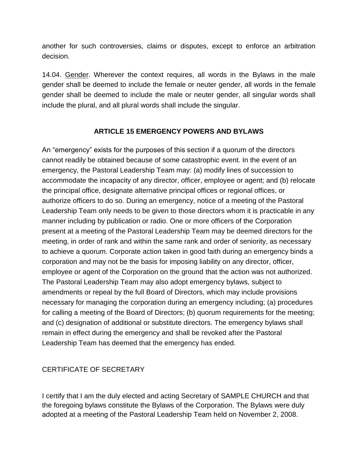another for such controversies, claims or disputes, except to enforce an arbitration decision.

14.04. Gender. Wherever the context requires, all words in the Bylaws in the male gender shall be deemed to include the female or neuter gender, all words in the female gender shall be deemed to include the male or neuter gender, all singular words shall include the plural, and all plural words shall include the singular.

### **ARTICLE 15 EMERGENCY POWERS AND BYLAWS**

An "emergency" exists for the purposes of this section if a quorum of the directors cannot readily be obtained because of some catastrophic event. In the event of an emergency, the Pastoral Leadership Team may: (a) modify lines of succession to accommodate the incapacity of any director, officer, employee or agent; and (b) relocate the principal office, designate alternative principal offices or regional offices, or authorize officers to do so. During an emergency, notice of a meeting of the Pastoral Leadership Team only needs to be given to those directors whom it is practicable in any manner including by publication or radio. One or more officers of the Corporation present at a meeting of the Pastoral Leadership Team may be deemed directors for the meeting, in order of rank and within the same rank and order of seniority, as necessary to achieve a quorum. Corporate action taken in good faith during an emergency binds a corporation and may not be the basis for imposing liability on any director, officer, employee or agent of the Corporation on the ground that the action was not authorized. The Pastoral Leadership Team may also adopt emergency bylaws, subject to amendments or repeal by the full Board of Directors, which may include provisions necessary for managing the corporation during an emergency including; (a) procedures for calling a meeting of the Board of Directors; (b) quorum requirements for the meeting; and (c) designation of additional or substitute directors. The emergency bylaws shall remain in effect during the emergency and shall be revoked after the Pastoral Leadership Team has deemed that the emergency has ended.

### CERTIFICATE OF SECRETARY

I certify that I am the duly elected and acting Secretary of SAMPLE CHURCH and that the foregoing bylaws constitute the Bylaws of the Corporation. The Bylaws were duly adopted at a meeting of the Pastoral Leadership Team held on November 2, 2008.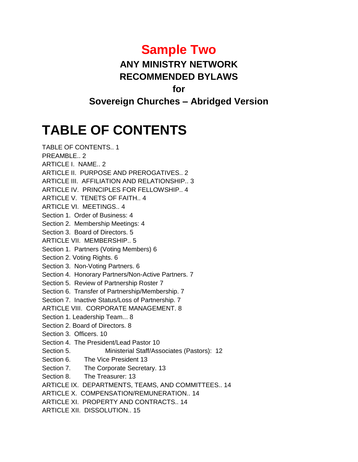### **Sample Two**

### **ANY MINISTRY NETWORK RECOMMENDED BYLAWS**

### **for**

### **Sovereign Churches – Abridged Version**

# **TABLE OF CONTENTS**

TABLE OF CONTENTS.. 1 PREAMBLE.. 2 ARTICLE I. NAME.. 2

ARTICLE II. PURPOSE AND PREROGATIVES.. 2

ARTICLE III. AFFILIATION AND RELATIONSHIP.. 3

ARTICLE IV. PRINCIPLES FOR FELLOWSHIP.. 4

ARTICLE V. TENETS OF FAITH.. 4

ARTICLE VI. MEETINGS.. 4

Section 1. Order of Business: 4

Section 2. Membership Meetings: 4

Section 3. Board of Directors. 5

ARTICLE VII. MEMBERSHIP.. 5

Section 1. Partners (Voting Members) 6

Section 2. Voting Rights. 6

Section 3. Non-Voting Partners. 6

Section 4. Honorary Partners/Non-Active Partners. 7

- Section 5. Review of Partnership Roster 7
- Section 6. Transfer of Partnership/Membership. 7

Section 7. Inactive Status/Loss of Partnership. 7

ARTICLE VIII. CORPORATE MANAGEMENT. 8

Section 1. Leadership Team... 8

Section 2. Board of Directors. 8

Section 3. Officers. 10

Section 4. The President/Lead Pastor 10

Section 5. Ministerial Staff/Associates (Pastors): 12

Section 6. The Vice President 13

Section 7. The Corporate Secretary. 13

Section 8. The Treasurer: 13

ARTICLE IX. DEPARTMENTS, TEAMS, AND COMMITTEES.. 14

ARTICLE X. COMPENSATION/REMUNERATION.. 14

ARTICLE XI. PROPERTY AND CONTRACTS.. 14

ARTICLE XII. DISSOLUTION.. 15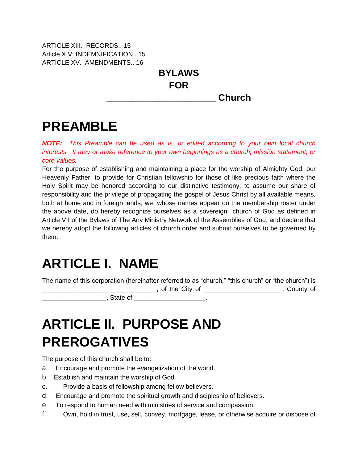ARTICLE XIII. RECORDS.. 15 Article XIV: INDEMNIFICATION.. 15 ARTICLE XV. AMENDMENTS.. 16

> **BYLAWS FOR \_\_\_\_\_\_\_\_\_\_\_\_\_\_\_\_\_\_\_\_\_ Church**

## **PREAMBLE**

*NOTE: This Preamble can be used as is, or edited according to your own local church interests. It may or make reference to your own beginnings as a church, mission statement, or core values.*

For the purpose of establishing and maintaining a place for the worship of Almighty God, our Heavenly Father; to provide for Christian fellowship for those of like precious faith where the Holy Spirit may be honored according to our distinctive testimony; to assume our share of responsibility and the privilege of propagating the gospel of Jesus Christ by all available means, both at home and in foreign lands; we, whose names appear on the membership roster under the above date, do hereby recognize ourselves as a sovereign church of God as defined in Article VII of the Bylaws of The Any Ministry Network of the Assemblies of God, and declare that we hereby adopt the following articles of church order and submit ourselves to be governed by them.

## **ARTICLE I. NAME**

The name of this corporation (hereinafter referred to as "church," "this church" or "the church") is

\_\_\_\_\_\_\_\_\_\_\_\_\_\_\_\_\_\_\_\_\_\_\_\_\_\_\_\_\_\_\_\_, of the City of \_\_\_\_\_\_\_\_\_\_\_\_\_\_\_\_\_\_\_\_\_\_, County of

 $\blacksquare$  . State of  $\blacksquare$ 

# **ARTICLE II. PURPOSE AND PREROGATIVES**

The purpose of this church shall be to:

- a. Encourage and promote the evangelization of the world.
- b. Establish and maintain the worship of God.
- c. Provide a basis of fellowship among fellow believers.
- d. Encourage and promote the spiritual growth and discipleship of believers.
- e. To respond to human need with ministries of service and compassion.
- f. Own, hold in trust, use, sell, convey, mortgage, lease, or otherwise acquire or dispose of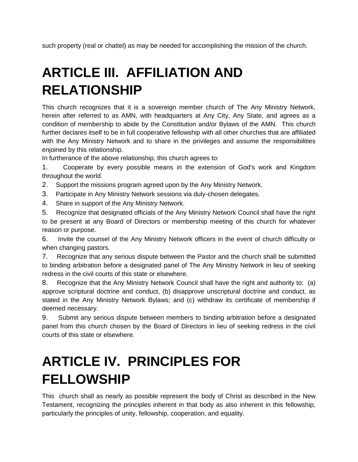such property (real or chattel) as may be needed for accomplishing the mission of the church.

# **ARTICLE III. AFFILIATION AND RELATIONSHIP**

This church recognizes that it is a sovereign member church of The Any Ministry Network, herein after referred to as AMN, with headquarters at Any City, Any State, and agrees as a condition of membership to abide by the Constitution and/or Bylaws of the AMN. This church further declares itself to be in full cooperative fellowship with all other churches that are affiliated with the Any Ministry Network and to share in the privileges and assume the responsibilities enjoined by this relationship.

In furtherance of the above relationship, this church agrees to:

1. Cooperate by every possible means in the extension of God's work and Kingdom throughout the world.

2. Support the missions program agreed upon by the Any Ministry Network.

- 3. Participate in Any Ministry Network sessions via duly-chosen delegates.
- 4. Share in support of the Any Ministry Network.

5. Recognize that designated officials of the Any Ministry Network Council shall have the right to be present at any Board of Directors or membership meeting of this church for whatever reason or purpose.

6. Invite the counsel of the Any Ministry Network officers in the event of church difficulty or when changing pastors.

7. Recognize that any serious dispute between the Pastor and the church shall be submitted to binding arbitration before a designated panel of The Any Ministry Network in lieu of seeking redress in the civil courts of this state or elsewhere.

8. Recognize that the Any Ministry Network Council shall have the right and authority to: (a) approve scriptural doctrine and conduct, (b) disapprove unscriptural doctrine and conduct, as stated in the Any Ministry Network Bylaws; and (c) withdraw its certificate of membership if deemed necessary.

9. Submit any serious dispute between members to binding arbitration before a designated panel from this church chosen by the Board of Directors in lieu of seeking redress in the civil courts of this state or elsewhere.

## **ARTICLE IV. PRINCIPLES FOR FELLOWSHIP**

This church shall as nearly as possible represent the body of Christ as described in the New Testament, recognizing the principles inherent in that body as also inherent in this fellowship, particularly the principles of unity, fellowship, cooperation, and equality.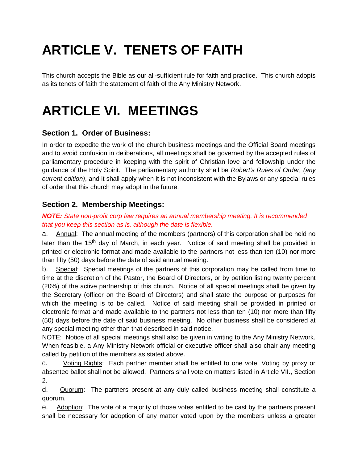# **ARTICLE V. TENETS OF FAITH**

This church accepts the Bible as our all-sufficient rule for faith and practice. This church adopts as its tenets of faith the statement of faith of the Any Ministry Network.

## **ARTICLE VI. MEETINGS**

### **Section 1. Order of Business:**

In order to expedite the work of the church business meetings and the Official Board meetings and to avoid confusion in deliberations, all meetings shall be governed by the accepted rules of parliamentary procedure in keeping with the spirit of Christian love and fellowship under the guidance of the Holy Spirit. The parliamentary authority shall be *Robert's Rules of Order, (any current edition)*, and it shall apply when it is not inconsistent with the Bylaws or any special rules of order that this church may adopt in the future.

### **Section 2. Membership Meetings:**

#### *NOTE: State non-profit corp law requires an annual membership meeting. It is recommended that you keep this section as is, although the date is flexible.*

a. Annual: The annual meeting of the members (partners) of this corporation shall be held no later than the 15<sup>th</sup> day of March, in each year. Notice of said meeting shall be provided in printed or electronic format and made available to the partners not less than ten (10) nor more than fifty (50) days before the date of said annual meeting.

b. Special: Special meetings of the partners of this corporation may be called from time to time at the discretion of the Pastor, the Board of Directors, or by petition listing twenty percent (20%) of the active partnership of this church. Notice of all special meetings shall be given by the Secretary (officer on the Board of Directors) and shall state the purpose or purposes for which the meeting is to be called. Notice of said meeting shall be provided in printed or electronic format and made available to the partners not less than ten (10) nor more than fifty (50) days before the date of said business meeting. No other business shall be considered at any special meeting other than that described in said notice.

NOTE: Notice of all special meetings shall also be given in writing to the Any Ministry Network. When feasible, a Any Ministry Network official or executive officer shall also chair any meeting called by petition of the members as stated above.

c. Voting Rights: Each partner member shall be entitled to one vote. Voting by proxy or absentee ballot shall not be allowed. Partners shall vote on matters listed in Article VII., Section 2.

d. Quorum: The partners present at any duly called business meeting shall constitute a quorum.

e. Adoption: The vote of a majority of those votes entitled to be cast by the partners present shall be necessary for adoption of any matter voted upon by the members unless a greater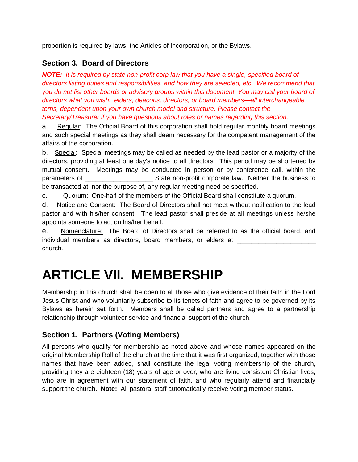proportion is required by laws, the Articles of Incorporation, or the Bylaws.

### **Section 3. Board of Directors**

*NOTE: It is required by state non-profit corp law that you have a single, specified board of directors listing duties and responsibilities, and how they are selected, etc. We recommend that you do not list other boards or advisory groups within this document. You may call your board of directors what you wish: elders, deacons, directors, or board members—all interchangeable terns, dependent upon your own church model and structure. Please contact the Secretary/Treasurer if you have questions about roles or names regarding this section.*

a. Regular: The Official Board of this corporation shall hold regular monthly board meetings and such special meetings as they shall deem necessary for the competent management of the affairs of the corporation.

b. Special: Special meetings may be called as needed by the lead pastor or a majority of the directors, providing at least one day's notice to all directors. This period may be shortened by mutual consent. Meetings may be conducted in person or by conference call, within the parameters of \_\_\_\_\_\_\_\_\_\_\_\_\_\_\_\_\_\_\_ State non-profit corporate law. Neither the business to be transacted at, nor the purpose of, any regular meeting need be specified.

c. Quorum: One-half of the members of the Official Board shall constitute a quorum.

d. Notice and Consent: The Board of Directors shall not meet without notification to the lead pastor and with his/her consent. The lead pastor shall preside at all meetings unless he/she appoints someone to act on his/her behalf.

e. Nomenclature: The Board of Directors shall be referred to as the official board, and individual members as directors, board members, or elders at church.

## **ARTICLE VII. MEMBERSHIP**

Membership in this church shall be open to all those who give evidence of their faith in the Lord Jesus Christ and who voluntarily subscribe to its tenets of faith and agree to be governed by its Bylaws as herein set forth. Members shall be called partners and agree to a partnership relationship through volunteer service and financial support of the church.

### **Section 1. Partners (Voting Members)**

All persons who qualify for membership as noted above and whose names appeared on the original Membership Roll of the church at the time that it was first organized, together with those names that have been added, shall constitute the legal voting membership of the church, providing they are eighteen (18) years of age or over, who are living consistent Christian lives, who are in agreement with our statement of faith, and who regularly attend and financially support the church. **Note:** All pastoral staff automatically receive voting member status.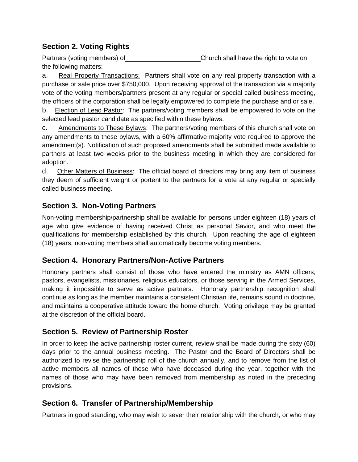### **Section 2. Voting Rights**

Partners (voting members) of **Example 1** Church shall have the right to vote on the following matters:

a. Real Property Transactions: Partners shall vote on any real property transaction with a purchase or sale price over \$750,000. Upon receiving approval of the transaction via a majority vote of the voting members/partners present at any regular or special called business meeting, the officers of the corporation shall be legally empowered to complete the purchase and or sale.

b. Election of Lead Pastor: The partners/voting members shall be empowered to vote on the selected lead pastor candidate as specified within these bylaws.

c. Amendments to These Bylaws: The partners/voting members of this church shall vote on any amendments to these bylaws, with a 60% affirmative majority vote required to approve the amendment(s). Notification of such proposed amendments shall be submitted made available to partners at least two weeks prior to the business meeting in which they are considered for adoption.

d. Other Matters of Business: The official board of directors may bring any item of business they deem of sufficient weight or portent to the partners for a vote at any regular or specially called business meeting.

### **Section 3. Non-Voting Partners**

Non-voting membership/partnership shall be available for persons under eighteen (18) years of age who give evidence of having received Christ as personal Savior, and who meet the qualifications for membership established by this church. Upon reaching the age of eighteen (18) years, non-voting members shall automatically become voting members.

### **Section 4. Honorary Partners/Non-Active Partners**

Honorary partners shall consist of those who have entered the ministry as AMN officers, pastors, evangelists, missionaries, religious educators, or those serving in the Armed Services, making it impossible to serve as active partners. Honorary partnership recognition shall continue as long as the member maintains a consistent Christian life, remains sound in doctrine, and maintains a cooperative attitude toward the home church. Voting privilege may be granted at the discretion of the official board.

### **Section 5. Review of Partnership Roster**

In order to keep the active partnership roster current, review shall be made during the sixty (60) days prior to the annual business meeting. The Pastor and the Board of Directors shall be authorized to revise the partnership roll of the church annually, and to remove from the list of active members all names of those who have deceased during the year, together with the names of those who may have been removed from membership as noted in the preceding provisions.

### **Section 6. Transfer of Partnership/Membership**

Partners in good standing, who may wish to sever their relationship with the church, or who may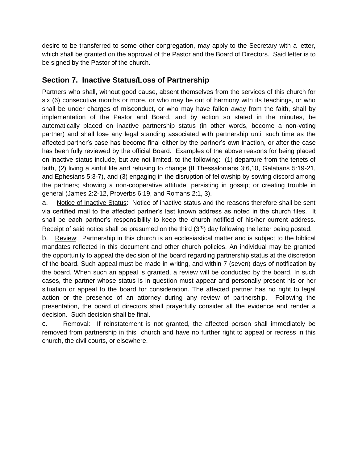desire to be transferred to some other congregation, may apply to the Secretary with a letter, which shall be granted on the approval of the Pastor and the Board of Directors. Said letter is to be signed by the Pastor of the church.

### **Section 7. Inactive Status/Loss of Partnership**

Partners who shall, without good cause, absent themselves from the services of this church for six (6) consecutive months or more, or who may be out of harmony with its teachings, or who shall be under charges of misconduct, or who may have fallen away from the faith, shall by implementation of the Pastor and Board, and by action so stated in the minutes, be automatically placed on inactive partnership status (in other words, become a non-voting partner) and shall lose any legal standing associated with partnership until such time as the affected partner's case has become final either by the partner's own inaction, or after the case has been fully reviewed by the official Board. Examples of the above reasons for being placed on inactive status include, but are not limited, to the following: (1) departure from the tenets of faith, (2) living a sinful life and refusing to change (II Thessalonians 3:6,10, Galatians 5:19-21, and Ephesians 5:3-7), and (3) engaging in the disruption of fellowship by sowing discord among the partners; showing a non-cooperative attitude, persisting in gossip; or creating trouble in general (James 2:2-12, Proverbs 6:19, and Romans 2:1, 3).

a. Notice of Inactive Status: Notice of inactive status and the reasons therefore shall be sent via certified mail to the affected partner's last known address as noted in the church files. It shall be each partner's responsibility to keep the church notified of his/her current address. Receipt of said notice shall be presumed on the third (3<sup>rd</sup>) day following the letter being posted.

b. Review: Partnership in this church is an ecclesiastical matter and is subject to the biblical mandates reflected in this document and other church policies. An individual may be granted the opportunity to appeal the decision of the board regarding partnership status at the discretion of the board. Such appeal must be made in writing, and within 7 (seven) days of notification by the board. When such an appeal is granted, a review will be conducted by the board. In such cases, the partner whose status is in question must appear and personally present his or her situation or appeal to the board for consideration. The affected partner has no right to legal action or the presence of an attorney during any review of partnership. Following the presentation, the board of directors shall prayerfully consider all the evidence and render a decision. Such decision shall be final.

c. Removal: If reinstatement is not granted, the affected person shall immediately be removed from partnership in this church and have no further right to appeal or redress in this church, the civil courts, or elsewhere.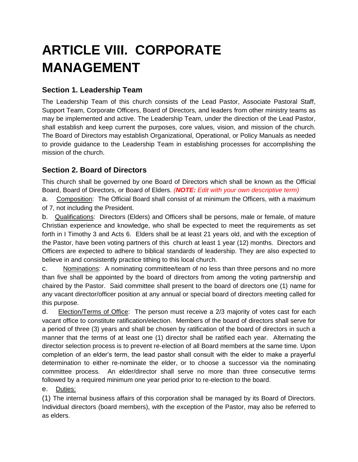# **ARTICLE VIII. CORPORATE MANAGEMENT**

### **Section 1. Leadership Team**

The Leadership Team of this church consists of the Lead Pastor, Associate Pastoral Staff, Support Team, Corporate Officers, Board of Directors, and leaders from other ministry teams as may be implemented and active. The Leadership Team, under the direction of the Lead Pastor, shall establish and keep current the purposes, core values, vision, and mission of the church. The Board of Directors may establish Organizational, Operational, or Policy Manuals as needed to provide guidance to the Leadership Team in establishing processes for accomplishing the mission of the church.

### **Section 2. Board of Directors**

This church shall be governed by one Board of Directors which shall be known as the Official Board, Board of Directors, or Board of Elders. *(NOTE: Edit with your own descriptive term)*

a. Composition: The Official Board shall consist of at minimum the Officers, with a maximum of 7, not including the President.

b. Qualifications: Directors (Elders) and Officers shall be persons, male or female, of mature Christian experience and knowledge, who shall be expected to meet the requirements as set forth in I Timothy 3 and Acts 6. Elders shall be at least 21 years old, and with the exception of the Pastor, have been voting partners of this church at least 1 year (12) months. Directors and Officers are expected to adhere to biblical standards of leadership. They are also expected to believe in and consistently practice tithing to this local church.

c. Nominations: A nominating committee/team of no less than three persons and no more than five shall be appointed by the board of directors from among the voting partnership and chaired by the Pastor. Said committee shall present to the board of directors one (1) name for any vacant director/officer position at any annual or special board of directors meeting called for this purpose.

d. Election/Terms of Office: The person must receive a 2/3 majority of votes cast for each vacant office to constitute ratification/election. Members of the board of directors shall serve for a period of three (3) years and shall be chosen by ratification of the board of directors in such a manner that the terms of at least one (1) director shall be ratified each year. Alternating the director selection process is to prevent re-election of all Board members at the same time. Upon completion of an elder's term, the lead pastor shall consult with the elder to make a prayerful determination to either re-nominate the elder, or to choose a successor via the nominating committee process. An elder/director shall serve no more than three consecutive terms followed by a required minimum one year period prior to re-election to the board.

e. Duties:

(1) The internal business affairs of this corporation shall be managed by its Board of Directors. Individual directors (board members), with the exception of the Pastor, may also be referred to as elders.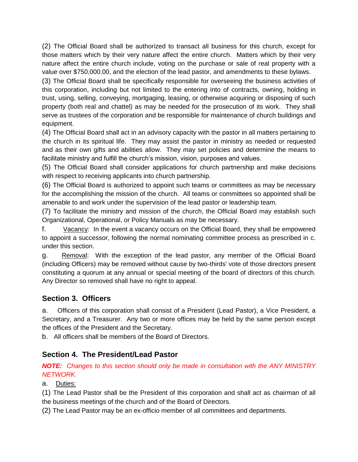(2) The Official Board shall be authorized to transact all business for this church, except for those matters which by their very nature affect the entire church. Matters which by their very nature affect the entire church include, voting on the purchase or sale of real property with a value over \$750,000.00, and the election of the lead pastor, and amendments to these bylaws.

(3) The Official Board shall be specifically responsible for overseeing the business activities of this corporation, including but not limited to the entering into of contracts, owning, holding in trust, using, selling, conveying, mortgaging, leasing, or otherwise acquiring or disposing of such property (both real and chattel) as may be needed for the prosecution of its work. They shall serve as trustees of the corporation and be responsible for maintenance of church buildings and equipment.

(4) The Official Board shall act in an advisory capacity with the pastor in all matters pertaining to the church in its spiritual life. They may assist the pastor in ministry as needed or requested and as their own gifts and abilities allow. They may set policies and determine the means to facilitate ministry and fulfill the church's mission, vision, purposes and values.

(5) The Official Board shall consider applications for church partnership and make decisions with respect to receiving applicants into church partnership.

(6) The Official Board is authorized to appoint such teams or committees as may be necessary for the accomplishing the mission of the church. All teams or committees so appointed shall be amenable to and work under the supervision of the lead pastor or leadership team.

(7) To facilitate the ministry and mission of the church, the Official Board may establish such Organizational, Operational, or Policy Manuals as may be necessary.

f. Vacancy: In the event a vacancy occurs on the Official Board, they shall be empowered to appoint a successor, following the normal nominating committee process as prescribed in c. under this section.

g. Removal: With the exception of the lead pastor, any member of the Official Board (including Officers) may be removed without cause by two-thirds' vote of those directors present constituting a quorum at any annual or special meeting of the board of directors of this church. Any Director so removed shall have no right to appeal.

### **Section 3. Officers**

a. Officers of this corporation shall consist of a President (Lead Pastor), a Vice President, a Secretary, and a Treasurer. Any two or more offices may be held by the same person except the offices of the President and the Secretary.

b. All officers shall be members of the Board of Directors.

### **Section 4. The President/Lead Pastor**

*NOTE: Changes to this section should only be made in consultation with the ANY MINISTRY NETWORK.*

a. Duties:

(1) The Lead Pastor shall be the President of this corporation and shall act as chairman of all the business meetings of the church and of the Board of Directors.

(2) The Lead Pastor may be an ex-officio member of all committees and departments.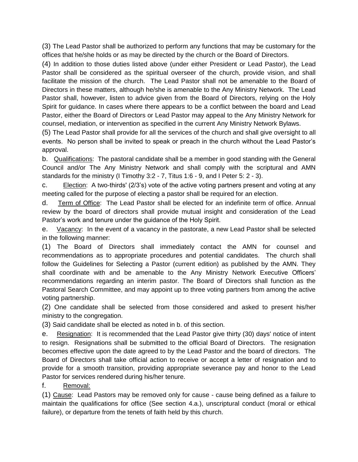(3) The Lead Pastor shall be authorized to perform any functions that may be customary for the offices that he/she holds or as may be directed by the church or the Board of Directors.

(4) In addition to those duties listed above (under either President or Lead Pastor), the Lead Pastor shall be considered as the spiritual overseer of the church, provide vision, and shall facilitate the mission of the church. The Lead Pastor shall not be amenable to the Board of Directors in these matters, although he/she is amenable to the Any Ministry Network. The Lead Pastor shall, however, listen to advice given from the Board of Directors, relying on the Holy Spirit for guidance. In cases where there appears to be a conflict between the board and Lead Pastor, either the Board of Directors or Lead Pastor may appeal to the Any Ministry Network for counsel, mediation, or intervention as specified in the current Any Ministry Network Bylaws.

(5) The Lead Pastor shall provide for all the services of the church and shall give oversight to all events. No person shall be invited to speak or preach in the church without the Lead Pastor's approval.

b. Qualifications: The pastoral candidate shall be a member in good standing with the General Council and/or The Any Ministry Network and shall comply with the scriptural and AMN standards for the ministry (I Timothy 3:2 - 7, Titus 1:6 - 9, and I Peter 5: 2 - 3).

c. Election: A two-thirds' (2/3's) vote of the active voting partners present and voting at any meeting called for the purpose of electing a pastor shall be required for an election.

d. Term of Office: The Lead Pastor shall be elected for an indefinite term of office. Annual review by the board of directors shall provide mutual insight and consideration of the Lead Pastor's work and tenure under the guidance of the Holy Spirit.

e. Vacancy: In the event of a vacancy in the pastorate, a new Lead Pastor shall be selected in the following manner:

(1) The Board of Directors shall immediately contact the AMN for counsel and recommendations as to appropriate procedures and potential candidates. The church shall follow the Guidelines for Selecting a Pastor (current edition) as published by the AMN. They shall coordinate with and be amenable to the Any Ministry Network Executive Officers' recommendations regarding an interim pastor. The Board of Directors shall function as the Pastoral Search Committee, and may appoint up to three voting partners from among the active voting partnership.

(2) One candidate shall be selected from those considered and asked to present his/her ministry to the congregation.

(3) Said candidate shall be elected as noted in b. of this section.

e. Resignation: It is recommended that the Lead Pastor give thirty (30) days' notice of intent to resign. Resignations shall be submitted to the official Board of Directors. The resignation becomes effective upon the date agreed to by the Lead Pastor and the board of directors. The Board of Directors shall take official action to receive or accept a letter of resignation and to provide for a smooth transition, providing appropriate severance pay and honor to the Lead Pastor for services rendered during his/her tenure.

#### f. Removal:

(1) Cause: Lead Pastors may be removed only for cause - cause being defined as a failure to maintain the qualifications for office (See section 4.a.), unscriptural conduct (moral or ethical failure), or departure from the tenets of faith held by this church.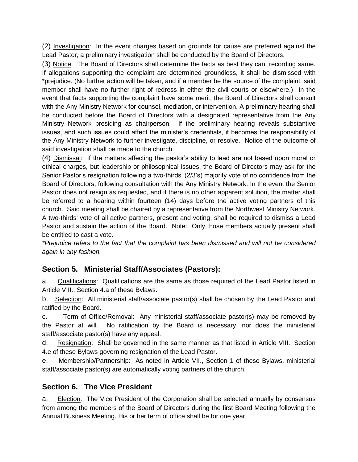(2) Investigation: In the event charges based on grounds for cause are preferred against the Lead Pastor, a preliminary investigation shall be conducted by the Board of Directors.

(3) Notice: The Board of Directors shall determine the facts as best they can, recording same. If allegations supporting the complaint are determined groundless, it shall be dismissed with \*prejudice. (No further action will be taken, and if a member be the source of the complaint, said member shall have no further right of redress in either the civil courts or elsewhere.) In the event that facts supporting the complaint have some merit, the Board of Directors shall consult with the Any Ministry Network for counsel, mediation, or intervention. A preliminary hearing shall be conducted before the Board of Directors with a designated representative from the Any Ministry Network presiding as chairperson. If the preliminary hearing reveals substantive issues, and such issues could affect the minister's credentials, it becomes the responsibility of the Any Ministry Network to further investigate, discipline, or resolve. Notice of the outcome of said investigation shall be made to the church.

(4) Dismissal: If the matters affecting the pastor's ability to lead are not based upon moral or ethical charges, but leadership or philosophical issues, the Board of Directors may ask for the Senior Pastor's resignation following a two-thirds' (2/3's) majority vote of no confidence from the Board of Directors, following consultation with the Any Ministry Network. In the event the Senior Pastor does not resign as requested, and if there is no other apparent solution, the matter shall be referred to a hearing within fourteen (14) days before the active voting partners of this church. Said meeting shall be chaired by a representative from the Northwest Ministry Network. A two-thirds' vote of all active partners, present and voting, shall be required to dismiss a Lead Pastor and sustain the action of the Board. Note: Only those members actually present shall be entitled to cast a vote.

*\*Prejudice refers to the fact that the complaint has been dismissed and will not be considered again in any fashion.*

### **Section 5. Ministerial Staff/Associates (Pastors):**

a. Qualifications: Qualifications are the same as those required of the Lead Pastor listed in Article VIII., Section 4.a of these Bylaws.

b. Selection: All ministerial staff/associate pastor(s) shall be chosen by the Lead Pastor and ratified by the Board.

c. Term of Office/Removal: Any ministerial staff/associate pastor(s) may be removed by the Pastor at will. No ratification by the Board is necessary, nor does the ministerial staff/associate pastor(s) have any appeal.

d. Resignation: Shall be governed in the same manner as that listed in Article VIII., Section 4.e of these Bylaws governing resignation of the Lead Pastor.

e. Membership/Partnership: As noted in Article VII., Section 1 of these Bylaws, ministerial staff/associate pastor(s) are automatically voting partners of the church.

#### **Section 6. The Vice President**

a. Election: The Vice President of the Corporation shall be selected annually by consensus from among the members of the Board of Directors during the first Board Meeting following the Annual Business Meeting. His or her term of office shall be for one year.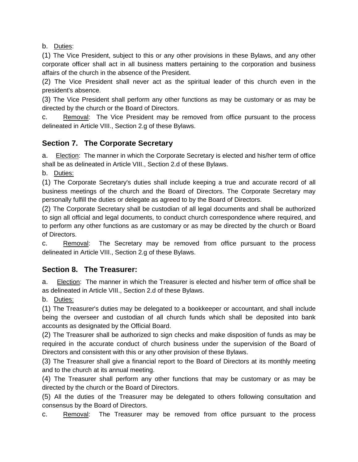b. Duties:

(1) The Vice President, subject to this or any other provisions in these Bylaws, and any other corporate officer shall act in all business matters pertaining to the corporation and business affairs of the church in the absence of the President.

(2) The Vice President shall never act as the spiritual leader of this church even in the president's absence.

(3) The Vice President shall perform any other functions as may be customary or as may be directed by the church or the Board of Directors.

c. Removal: The Vice President may be removed from office pursuant to the process delineated in Article VIII., Section 2.g of these Bylaws.

### **Section 7. The Corporate Secretary**

a. Election: The manner in which the Corporate Secretary is elected and his/her term of office shall be as delineated in Article VIII., Section 2.d of these Bylaws.

b. Duties:

(1) The Corporate Secretary's duties shall include keeping a true and accurate record of all business meetings of the church and the Board of Directors. The Corporate Secretary may personally fulfill the duties or delegate as agreed to by the Board of Directors.

(2) The Corporate Secretary shall be custodian of all legal documents and shall be authorized to sign all official and legal documents, to conduct church correspondence where required, and to perform any other functions as are customary or as may be directed by the church or Board of Directors.

c. Removal: The Secretary may be removed from office pursuant to the process delineated in Article VIII., Section 2.g of these Bylaws.

#### **Section 8. The Treasurer:**

a. Election: The manner in which the Treasurer is elected and his/her term of office shall be as delineated in Article VIII., Section 2.d of these Bylaws.

b. Duties:

(1) The Treasurer's duties may be delegated to a bookkeeper or accountant, and shall include being the overseer and custodian of all church funds which shall be deposited into bank accounts as designated by the Official Board.

(2) The Treasurer shall be authorized to sign checks and make disposition of funds as may be required in the accurate conduct of church business under the supervision of the Board of Directors and consistent with this or any other provision of these Bylaws.

(3) The Treasurer shall give a financial report to the Board of Directors at its monthly meeting and to the church at its annual meeting.

(4) The Treasurer shall perform any other functions that may be customary or as may be directed by the church or the Board of Directors.

(5) All the duties of the Treasurer may be delegated to others following consultation and consensus by the Board of Directors.

c. Removal: The Treasurer may be removed from office pursuant to the process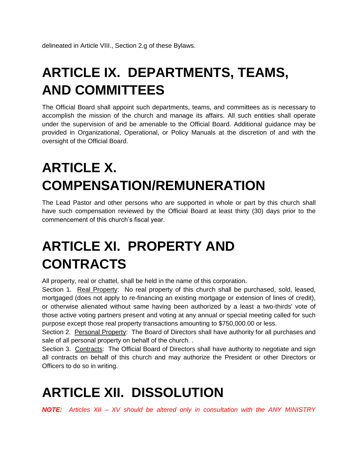# **ARTICLE IX. DEPARTMENTS, TEAMS, AND COMMITTEES**

The Official Board shall appoint such departments, teams, and committees as is necessary to accomplish the mission of the church and manage its affairs. All such entities shall operate under the supervision of and be amenable to the Official Board. Additional guidance may be provided in Organizational, Operational, or Policy Manuals at the discretion of and with the oversight of the Official Board.

# **ARTICLE X. COMPENSATION/REMUNERATION**

The Lead Pastor and other persons who are supported in whole or part by this church shall have such compensation reviewed by the Official Board at least thirty (30) days prior to the commencement of this church's fiscal year.

# **ARTICLE XI. PROPERTY AND CONTRACTS**

All property, real or chattel, shall be held in the name of this corporation.

Section 1. Real Property: No real property of this church shall be purchased, sold, leased, mortgaged (does not apply to re-financing an existing mortgage or extension of lines of credit), or otherwise alienated without same having been authorized by a least a two-thirds' vote of those active voting partners present and voting at any annual or special meeting called for such purpose except those real property transactions amounting to \$750,000.00 or less.

Section 2. Personal Property: The Board of Directors shall have authority for all purchases and sale of all personal property on behalf of the church. .

Section 3. Contracts: The Official Board of Directors shall have authority to negotiate and sign all contracts on behalf of this church and may authorize the President or other Directors or Officers to do so in writing.

## **ARTICLE XII. DISSOLUTION**

*NOTE: Articles XII – XV should be altered only in consultation with the ANY MINISTRY*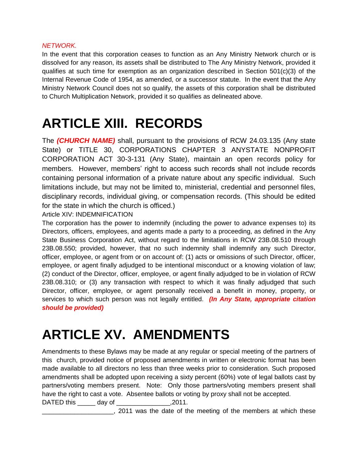#### *NETWORK.*

In the event that this corporation ceases to function as an Any Ministry Network church or is dissolved for any reason, its assets shall be distributed to The Any Ministry Network, provided it qualifies at such time for exemption as an organization described in Section  $501(c)(3)$  of the Internal Revenue Code of 1954, as amended, or a successor statute. In the event that the Any Ministry Network Council does not so qualify, the assets of this corporation shall be distributed to Church Multiplication Network, provided it so qualifies as delineated above.

# **ARTICLE XIII. RECORDS**

The *(CHURCH NAME)* shall, pursuant to the provisions of RCW 24.03.135 (Any state State) or TITLE 30, CORPORATIONS CHAPTER 3 ANYSTATE NONPROFIT CORPORATION ACT 30-3-131 (Any State), maintain an open records policy for members. However, members' right to access such records shall not include records containing personal information of a private nature about any specific individual. Such limitations include, but may not be limited to, ministerial, credential and personnel files, disciplinary records, individual giving, or compensation records. (This should be edited for the state in which the church is officed.)

Article XIV: INDEMNIFICATION

The corporation has the power to indemnify (including the power to advance expenses to) its Directors, officers, employees, and agents made a party to a proceeding, as defined in the Any State Business Corporation Act, without regard to the limitations in RCW 23B.08.510 through 23B.08.550; provided, however, that no such indemnity shall indemnify any such Director, officer, employee, or agent from or on account of: (1) acts or omissions of such Director, officer, employee, or agent finally adjudged to be intentional misconduct or a knowing violation of law; (2) conduct of the Director, officer, employee, or agent finally adjudged to be in violation of RCW 23B.08.310; or (3) any transaction with respect to which it was finally adjudged that such Director, officer, employee, or agent personally received a benefit in money, property, or services to which such person was not legally entitled. *(In Any State, appropriate citation should be provided)*

# **ARTICLE XV. AMENDMENTS**

Amendments to these Bylaws may be made at any regular or special meeting of the partners of this church, provided notice of proposed amendments in written or electronic format has been made available to all directors no less than three weeks prior to consideration. Such proposed amendments shall be adopted upon receiving a sixty percent (60%) vote of legal ballots cast by partners/voting members present. Note: Only those partners/voting members present shall have the right to cast a vote. Absentee ballots or voting by proxy shall not be accepted.

DATED this \_\_\_\_\_ day of \_\_\_\_\_\_\_\_\_\_\_\_\_\_\_,2011.

\_\_\_\_\_\_\_\_\_\_\_\_\_\_\_\_\_\_\_\_, 2011 was the date of the meeting of the members at which these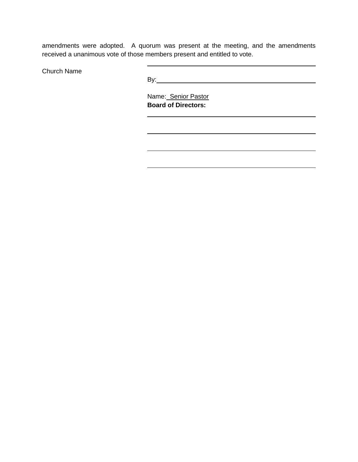amendments were adopted. A quorum was present at the meeting, and the amendments received a unanimous vote of those members present and entitled to vote.

Church Name

By: **Example 2018 By: Example 2018 By: Example 2018 By: Example 2018** 

 $\overline{a}$ 

 $\overline{a}$ 

 $\overline{a}$ 

 Name: Senior Pastor **Board of Directors:**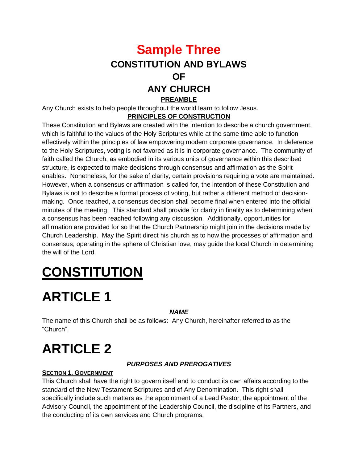## **Sample Three CONSTITUTION AND BYLAWS OF ANY CHURCH PREAMBLE**

Any Church exists to help people throughout the world learn to follow Jesus. **PRINCIPLES OF CONSTRUCTION**

These Constitution and Bylaws are created with the intention to describe a church government, which is faithful to the values of the Holy Scriptures while at the same time able to function effectively within the principles of law empowering modern corporate governance. In deference to the Holy Scriptures, voting is not favored as it is in corporate governance. The community of faith called the Church, as embodied in its various units of governance within this described structure, is expected to make decisions through consensus and affirmation as the Spirit enables. Nonetheless, for the sake of clarity, certain provisions requiring a vote are maintained. However, when a consensus or affirmation is called for, the intention of these Constitution and Bylaws is not to describe a formal process of voting, but rather a different method of decisionmaking. Once reached, a consensus decision shall become final when entered into the official minutes of the meeting. This standard shall provide for clarity in finality as to determining when a consensus has been reached following any discussion. Additionally, opportunities for affirmation are provided for so that the Church Partnership might join in the decisions made by Church Leadership. May the Spirit direct his church as to how the processes of affirmation and consensus, operating in the sphere of Christian love, may guide the local Church in determining the will of the Lord.

# **CONSTITUTION**

# **ARTICLE 1**

*NAME*

The name of this Church shall be as follows: Any Church, hereinafter referred to as the "Church".

# **ARTICLE 2**

#### *PURPOSES AND PREROGATIVES*

#### **SECTION 1. GOVERNMENT**

This Church shall have the right to govern itself and to conduct its own affairs according to the standard of the New Testament Scriptures and of Any Denomination. This right shall specifically include such matters as the appointment of a Lead Pastor, the appointment of the Advisory Council, the appointment of the Leadership Council, the discipline of its Partners, and the conducting of its own services and Church programs.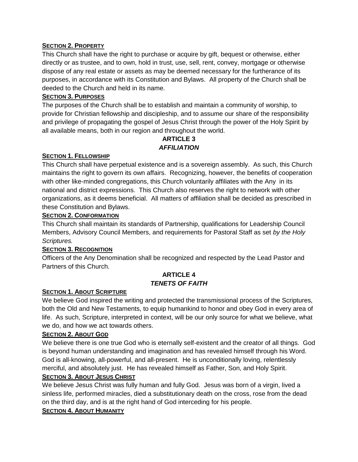#### **SECTION 2. PROPERTY**

This Church shall have the right to purchase or acquire by gift, bequest or otherwise, either directly or as trustee, and to own, hold in trust, use, sell, rent, convey, mortgage or otherwise dispose of any real estate or assets as may be deemed necessary for the furtherance of its purposes, in accordance with its Constitution and Bylaws. All property of the Church shall be deeded to the Church and held in its name.

#### **SECTION 3. PURPOSES**

The purposes of the Church shall be to establish and maintain a community of worship, to provide for Christian fellowship and discipleship, and to assume our share of the responsibility and privilege of propagating the gospel of Jesus Christ through the power of the Holy Spirit by all available means, both in our region and throughout the world.

#### **ARTICLE 3** *AFFILIATION*

#### **SECTION 1. FELLOWSHIP**

This Church shall have perpetual existence and is a sovereign assembly. As such, this Church maintains the right to govern its own affairs. Recognizing, however, the benefits of cooperation with other like-minded congregations, this Church voluntarily affiliates with the Any in its national and district expressions. This Church also reserves the right to network with other organizations, as it deems beneficial. All matters of affiliation shall be decided as prescribed in these Constitution and Bylaws.

#### **SECTION 2. CONFORMATION**

This Church shall maintain its standards of Partnership, qualifications for Leadership Council Members, Advisory Council Members, and requirements for Pastoral Staff as set *by the Holy Scriptures.*

#### **SECTION 3. RECOGNITION**

Officers of the Any Denomination shall be recognized and respected by the Lead Pastor and Partners of this Church.

#### **ARTICLE 4** *TENETS OF FAITH*

#### **SECTION 1. ABOUT SCRIPTURE**

We believe God inspired the writing and protected the transmissional process of the Scriptures, both the Old and New Testaments, to equip humankind to honor and obey God in every area of life. As such, Scripture, interpreted in context, will be our only source for what we believe, what we do, and how we act towards others.

#### **SECTION 2. ABOUT GOD**

We believe there is one true God who is eternally self-existent and the creator of all things. God is beyond human understanding and imagination and has revealed himself through his Word. God is all-knowing, all-powerful, and all-present. He is unconditionally loving, relentlessly merciful, and absolutely just. He has revealed himself as Father, Son, and Holy Spirit.

#### **SECTION 3. ABOUT JESUS CHRIST**

We believe Jesus Christ was fully human and fully God. Jesus was born of a virgin, lived a sinless life, performed miracles, died a substitutionary death on the cross, rose from the dead on the third day, and is at the right hand of God interceding for his people.

#### **SECTION 4. ABOUT HUMANITY**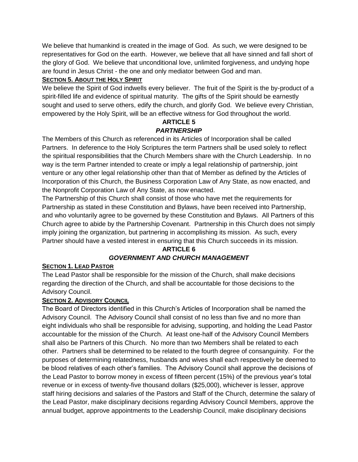We believe that humankind is created in the image of God. As such, we were designed to be representatives for God on the earth. However, we believe that all have sinned and fall short of the glory of God. We believe that unconditional love, unlimited forgiveness, and undying hope are found in Jesus Christ - the one and only mediator between God and man.

#### **SECTION 5. ABOUT THE HOLY SPIRIT**

We believe the Spirit of God indwells every believer. The fruit of the Spirit is the by-product of a spirit-filled life and evidence of spiritual maturity. The gifts of the Spirit should be earnestly sought and used to serve others, edify the church, and glorify God. We believe every Christian, empowered by the Holy Spirit, will be an effective witness for God throughout the world.

#### **ARTICLE 5** *PARTNERSHIP*

The Members of this Church as referenced in its Articles of Incorporation shall be called Partners. In deference to the Holy Scriptures the term Partners shall be used solely to reflect the spiritual responsibilities that the Church Members share with the Church Leadership. In no way is the term Partner intended to create or imply a legal relationship of partnership, joint venture or any other legal relationship other than that of Member as defined by the Articles of Incorporation of this Church, the Business Corporation Law of Any State, as now enacted, and the Nonprofit Corporation Law of Any State, as now enacted.

The Partnership of this Church shall consist of those who have met the requirements for Partnership as stated in these Constitution and Bylaws, have been received into Partnership, and who voluntarily agree to be governed by these Constitution and Bylaws. All Partners of this Church agree to abide by the Partnership Covenant. Partnership in this Church does not simply imply joining the organization, but partnering in accomplishing its mission. As such, every Partner should have a vested interest in ensuring that this Church succeeds in its mission.

### **ARTICLE 6** *GOVERNMENT AND CHURCH MANAGEMENT*

#### **SECTION 1. LEAD PASTOR**

The Lead Pastor shall be responsible for the mission of the Church, shall make decisions regarding the direction of the Church, and shall be accountable for those decisions to the Advisory Council.

#### **SECTION 2. ADVISORY COUNCIL**

The Board of Directors identified in this Church's Articles of Incorporation shall be named the Advisory Council. The Advisory Council shall consist of no less than five and no more than eight individuals who shall be responsible for advising, supporting, and holding the Lead Pastor accountable for the mission of the Church. At least one-half of the Advisory Council Members shall also be Partners of this Church. No more than two Members shall be related to each other. Partners shall be determined to be related to the fourth degree of consanguinity. For the purposes of determining relatedness, husbands and wives shall each respectively be deemed to be blood relatives of each other's families. The Advisory Council shall approve the decisions of the Lead Pastor to borrow money in excess of fifteen percent (15%) of the previous year's total revenue or in excess of twenty-five thousand dollars (\$25,000), whichever is lesser, approve staff hiring decisions and salaries of the Pastors and Staff of the Church, determine the salary of the Lead Pastor, make disciplinary decisions regarding Advisory Council Members, approve the annual budget, approve appointments to the Leadership Council, make disciplinary decisions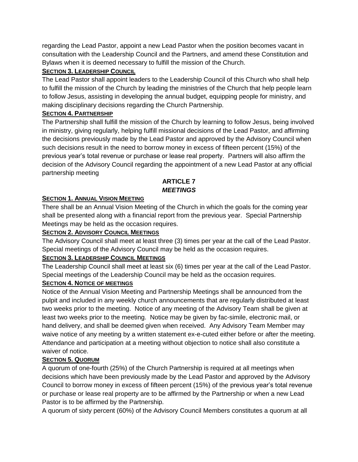regarding the Lead Pastor, appoint a new Lead Pastor when the position becomes vacant in consultation with the Leadership Council and the Partners, and amend these Constitution and Bylaws when it is deemed necessary to fulfill the mission of the Church.

#### **SECTION 3. LEADERSHIP COUNCIL**

The Lead Pastor shall appoint leaders to the Leadership Council of this Church who shall help to fulfill the mission of the Church by leading the ministries of the Church that help people learn to follow Jesus, assisting in developing the annual budget, equipping people for ministry, and making disciplinary decisions regarding the Church Partnership.

#### **SECTION 4. PARTNERSHIP**

The Partnership shall fulfill the mission of the Church by learning to follow Jesus, being involved in ministry, giving regularly, helping fulfill missional decisions of the Lead Pastor, and affirming the decisions previously made by the Lead Pastor and approved by the Advisory Council when such decisions result in the need to borrow money in excess of fifteen percent (15%) of the previous year's total revenue or purchase or lease real property. Partners will also affirm the decision of the Advisory Council regarding the appointment of a new Lead Pastor at any official partnership meeting

#### **ARTICLE 7** *MEETINGS*

#### **SECTION 1. ANNUAL VISION MEETING**

There shall be an Annual Vision Meeting of the Church in which the goals for the coming year shall be presented along with a financial report from the previous year. Special Partnership Meetings may be held as the occasion requires.

#### **SECTION 2. ADVISORY COUNCIL MEETINGS**

The Advisory Council shall meet at least three (3) times per year at the call of the Lead Pastor. Special meetings of the Advisory Council may be held as the occasion requires.

#### **SECTION 3. LEADERSHIP COUNCIL MEETINGS**

The Leadership Council shall meet at least six (6) times per year at the call of the Lead Pastor. Special meetings of the Leadership Council may be held as the occasion requires.

#### **SECTION 4. NOTICE OF MEETINGS**

Notice of the Annual Vision Meeting and Partnership Meetings shall be announced from the pulpit and included in any weekly church announcements that are regularly distributed at least two weeks prior to the meeting. Notice of any meeting of the Advisory Team shall be given at least two weeks prior to the meeting. Notice may be given by fac-simile, electronic mail, or hand delivery, and shall be deemed given when received. Any Advisory Team Member may waive notice of any meeting by a written statement ex-e-cuted either before or after the meeting. Attendance and participation at a meeting without objection to notice shall also constitute a waiver of notice.

#### **SECTION 5. QUORUM**

A quorum of one-fourth (25%) of the Church Partnership is required at all meetings when decisions which have been previously made by the Lead Pastor and approved by the Advisory Council to borrow money in excess of fifteen percent (15%) of the previous year's total revenue or purchase or lease real property are to be affirmed by the Partnership or when a new Lead Pastor is to be affirmed by the Partnership.

A quorum of sixty percent (60%) of the Advisory Council Members constitutes a quorum at all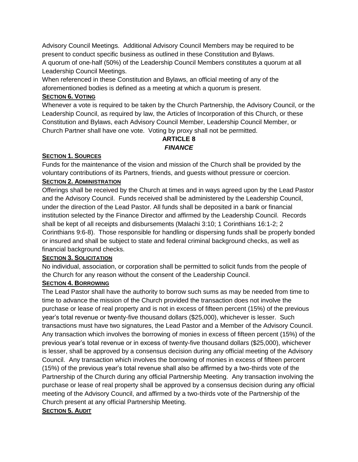Advisory Council Meetings. Additional Advisory Council Members may be required to be present to conduct specific business as outlined in these Constitution and Bylaws. A quorum of one-half (50%) of the Leadership Council Members constitutes a quorum at all Leadership Council Meetings.

When referenced in these Constitution and Bylaws, an official meeting of any of the aforementioned bodies is defined as a meeting at which a quorum is present.

#### **SECTION 6. VOTING**

Whenever a vote is required to be taken by the Church Partnership, the Advisory Council, or the Leadership Council, as required by law, the Articles of Incorporation of this Church, or these Constitution and Bylaws, each Advisory Council Member, Leadership Council Member, or Church Partner shall have one vote. Voting by proxy shall not be permitted.

#### **ARTICLE 8** *FINANCE*

#### **SECTION 1. SOURCES**

Funds for the maintenance of the vision and mission of the Church shall be provided by the voluntary contributions of its Partners, friends, and guests without pressure or coercion.

#### **SECTION 2. ADMINISTRATION**

Offerings shall be received by the Church at times and in ways agreed upon by the Lead Pastor and the Advisory Council. Funds received shall be administered by the Leadership Council, under the direction of the Lead Pastor. All funds shall be deposited in a bank or financial institution selected by the Finance Director and affirmed by the Leadership Council. Records shall be kept of all receipts and disbursements (Malachi 3:10; 1 Corinthians 16:1-2; 2 Corinthians 9:6-8). Those responsible for handling or dispersing funds shall be properly bonded or insured and shall be subject to state and federal criminal background checks, as well as financial background checks.

#### **SECTION 3. SOLICITATION**

No individual, association, or corporation shall be permitted to solicit funds from the people of the Church for any reason without the consent of the Leadership Council.

#### **SECTION 4. BORROWING**

The Lead Pastor shall have the authority to borrow such sums as may be needed from time to time to advance the mission of the Church provided the transaction does not involve the purchase or lease of real property and is not in excess of fifteen percent (15%) of the previous year's total revenue or twenty-five thousand dollars (\$25,000), whichever is lesser. Such transactions must have two signatures, the Lead Pastor and a Member of the Advisory Council. Any transaction which involves the borrowing of monies in excess of fifteen percent (15%) of the previous year's total revenue or in excess of twenty-five thousand dollars (\$25,000), whichever is lesser, shall be approved by a consensus decision during any official meeting of the Advisory Council. Any transaction which involves the borrowing of monies in excess of fifteen percent (15%) of the previous year's total revenue shall also be affirmed by a two-thirds vote of the Partnership of the Church during any official Partnership Meeting. Any transaction involving the purchase or lease of real property shall be approved by a consensus decision during any official meeting of the Advisory Council, and affirmed by a two-thirds vote of the Partnership of the Church present at any official Partnership Meeting.

#### **SECTION 5. AUDIT**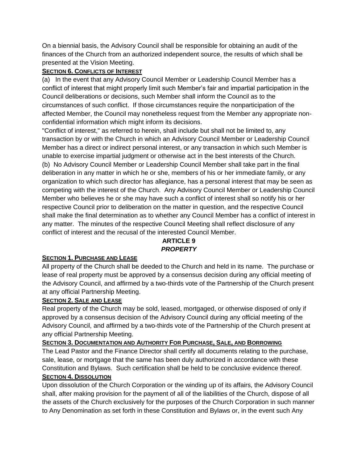On a biennial basis, the Advisory Council shall be responsible for obtaining an audit of the finances of the Church from an authorized independent source, the results of which shall be presented at the Vision Meeting.

#### **SECTION 6. CONFLICTS OF INTEREST**

(a) In the event that any Advisory Council Member or Leadership Council Member has a conflict of interest that might properly limit such Member's fair and impartial participation in the Council deliberations or decisions, such Member shall inform the Council as to the circumstances of such conflict. If those circumstances require the nonparticipation of the affected Member, the Council may nonetheless request from the Member any appropriate nonconfidential information which might inform its decisions.

"Conflict of interest," as referred to herein, shall include but shall not be limited to, any transaction by or with the Church in which an Advisory Council Member or Leadership Council Member has a direct or indirect personal interest, or any transaction in which such Member is unable to exercise impartial judgment or otherwise act in the best interests of the Church. (b) No Advisory Council Member or Leadership Council Member shall take part in the final deliberation in any matter in which he or she, members of his or her immediate family, or any organization to which such director has allegiance, has a personal interest that may be seen as competing with the interest of the Church. Any Advisory Council Member or Leadership Council Member who believes he or she may have such a conflict of interest shall so notify his or her respective Council prior to deliberation on the matter in question, and the respective Council shall make the final determination as to whether any Council Member has a conflict of interest in any matter. The minutes of the respective Council Meeting shall reflect disclosure of any conflict of interest and the recusal of the interested Council Member.

### **ARTICLE 9** *PROPERTY*

#### **SECTION 1. PURCHASE AND LEASE**

All property of the Church shall be deeded to the Church and held in its name. The purchase or lease of real property must be approved by a consensus decision during any official meeting of the Advisory Council, and affirmed by a two-thirds vote of the Partnership of the Church present at any official Partnership Meeting.

#### **SECTION 2. SALE AND LEASE**

Real property of the Church may be sold, leased, mortgaged, or otherwise disposed of only if approved by a consensus decision of the Advisory Council during any official meeting of the Advisory Council, and affirmed by a two-thirds vote of the Partnership of the Church present at any official Partnership Meeting.

#### **SECTION 3. DOCUMENTATION AND AUTHORITY FOR PURCHASE, SALE, AND BORROWING**

The Lead Pastor and the Finance Director shall certify all documents relating to the purchase, sale, lease, or mortgage that the same has been duly authorized in accordance with these Constitution and Bylaws. Such certification shall be held to be conclusive evidence thereof. **SECTION 4. DISSOLUTION**

Upon dissolution of the Church Corporation or the winding up of its affairs, the Advisory Council shall, after making provision for the payment of all of the liabilities of the Church, dispose of all the assets of the Church exclusively for the purposes of the Church Corporation in such manner to Any Denomination as set forth in these Constitution and Bylaws or, in the event such Any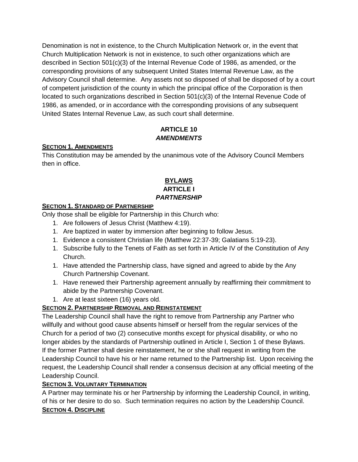Denomination is not in existence, to the Church Multiplication Network or, in the event that Church Multiplication Network is not in existence, to such other organizations which are described in Section 501(c)(3) of the Internal Revenue Code of 1986, as amended, or the corresponding provisions of any subsequent United States Internal Revenue Law, as the Advisory Council shall determine. Any assets not so disposed of shall be disposed of by a court of competent jurisdiction of the county in which the principal office of the Corporation is then located to such organizations described in Section 501(c)(3) of the Internal Revenue Code of 1986, as amended, or in accordance with the corresponding provisions of any subsequent United States Internal Revenue Law, as such court shall determine.

#### **ARTICLE 10** *AMENDMENTS*

#### **SECTION 1. AMENDMENTS**

This Constitution may be amended by the unanimous vote of the Advisory Council Members then in office.

#### **BYLAWS ARTICLE I** *PARTNERSHIP*

#### **SECTION 1. STANDARD OF PARTNERSHIP**

Only those shall be eligible for Partnership in this Church who:

- 1. Are followers of Jesus Christ (Matthew 4:19).
- 1. Are baptized in water by immersion after beginning to follow Jesus.
- 1. Evidence a consistent Christian life (Matthew 22:37-39; Galatians 5:19-23).
- 1. Subscribe fully to the Tenets of Faith as set forth in Article IV of the Constitution of Any Church.
- 1. Have attended the Partnership class, have signed and agreed to abide by the Any Church Partnership Covenant.
- 1. Have renewed their Partnership agreement annually by reaffirming their commitment to abide by the Partnership Covenant.
- 1. Are at least sixteen (16) years old.

#### **SECTION 2. PARTNERSHIP REMOVAL AND REINSTATEMENT**

The Leadership Council shall have the right to remove from Partnership any Partner who willfully and without good cause absents himself or herself from the regular services of the Church for a period of two (2) consecutive months except for physical disability, or who no longer abides by the standards of Partnership outlined in Article I, Section 1 of these Bylaws. If the former Partner shall desire reinstatement, he or she shall request in writing from the Leadership Council to have his or her name returned to the Partnership list. Upon receiving the request, the Leadership Council shall render a consensus decision at any official meeting of the Leadership Council.

#### **SECTION 3. VOLUNTARY TERMINATION**

A Partner may terminate his or her Partnership by informing the Leadership Council, in writing, of his or her desire to do so. Such termination requires no action by the Leadership Council. **SECTION 4. DISCIPLINE**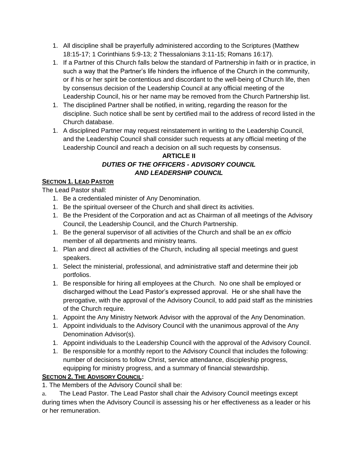- 1. All discipline shall be prayerfully administered according to the Scriptures (Matthew 18:15-17; 1 Corinthians 5:9-13; 2 Thessalonians 3:11-15; Romans 16:17).
- 1. If a Partner of this Church falls below the standard of Partnership in faith or in practice, in such a way that the Partner's life hinders the influence of the Church in the community, or if his or her spirit be contentious and discordant to the well-being of Church life, then by consensus decision of the Leadership Council at any official meeting of the Leadership Council, his or her name may be removed from the Church Partnership list.
- 1. The disciplined Partner shall be notified, in writing, regarding the reason for the discipline. Such notice shall be sent by certified mail to the address of record listed in the Church database.
- 1. A disciplined Partner may request reinstatement in writing to the Leadership Council, and the Leadership Council shall consider such requests at any official meeting of the Leadership Council and reach a decision on all such requests by consensus.

#### **ARTICLE II** *DUTIES OF THE OFFICERS - ADVISORY COUNCIL*

#### *AND LEADERSHIP COUNCIL*

#### **SECTION 1. LEAD PASTOR**

The Lead Pastor shall:

- 1. Be a credentialed minister of Any Denomination.
- 1. Be the spiritual overseer of the Church and shall direct its activities.
- 1. Be the President of the Corporation and act as Chairman of all meetings of the Advisory Council, the Leadership Council, and the Church Partnership.
- 1. Be the general supervisor of all activities of the Church and shall be an *ex officio* member of all departments and ministry teams.
- 1. Plan and direct all activities of the Church, including all special meetings and guest speakers.
- 1. Select the ministerial, professional, and administrative staff and determine their job portfolios.
- 1. Be responsible for hiring all employees at the Church. No one shall be employed or discharged without the Lead Pastor's expressed approval. He or she shall have the prerogative, with the approval of the Advisory Council, to add paid staff as the ministries of the Church require.
- 1. Appoint the Any Ministry Network Advisor with the approval of the Any Denomination.
- 1. Appoint individuals to the Advisory Council with the unanimous approval of the Any Denomination Advisor(s).
- 1. Appoint individuals to the Leadership Council with the approval of the Advisory Council.
- 1. Be responsible for a monthly report to the Advisory Council that includes the following: number of decisions to follow Christ, service attendance, discipleship progress, equipping for ministry progress, and a summary of financial stewardship.

#### **SECTION 2. THE ADVISORY COUNCIL:**

1. The Members of the Advisory Council shall be:

a. The Lead Pastor. The Lead Pastor shall chair the Advisory Council meetings except during times when the Advisory Council is assessing his or her effectiveness as a leader or his or her remuneration.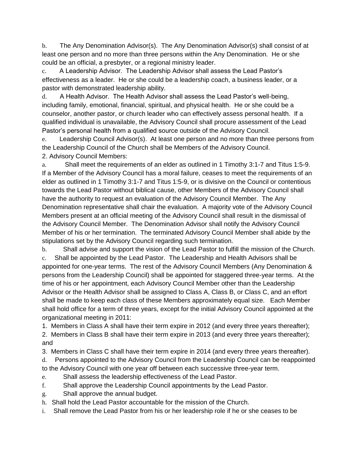b. The Any Denomination Advisor(s). The Any Denomination Advisor(s) shall consist of at least one person and no more than three persons within the Any Denomination. He or she could be an official, a presbyter, or a regional ministry leader.

c. A Leadership Advisor. The Leadership Advisor shall assess the Lead Pastor's effectiveness as a leader. He or she could be a leadership coach, a business leader, or a pastor with demonstrated leadership ability.

d. A Health Advisor. The Health Advisor shall assess the Lead Pastor's well-being, including family, emotional, financial, spiritual, and physical health. He or she could be a counselor, another pastor, or church leader who can effectively assess personal health. If a qualified individual is unavailable, the Advisory Council shall procure assessment of the Lead Pastor's personal health from a qualified source outside of the Advisory Council.

e. Leadership Council Advisor(s). At least one person and no more than three persons from the Leadership Council of the Church shall be Members of the Advisory Council. 2. Advisory Council Members:

a. Shall meet the requirements of an elder as outlined in 1 Timothy 3:1-7 and Titus 1:5-9. If a Member of the Advisory Council has a moral failure, ceases to meet the requirements of an elder as outlined in 1 Timothy 3:1-7 and Titus 1:5-9, or is divisive on the Council or contentious towards the Lead Pastor without biblical cause, other Members of the Advisory Council shall have the authority to request an evaluation of the Advisory Council Member. The Any Denomination representative shall chair the evaluation. A majority vote of the Advisory Council Members present at an official meeting of the Advisory Council shall result in the dismissal of the Advisory Council Member. The Denomination Advisor shall notify the Advisory Council Member of his or her termination. The terminated Advisory Council Member shall abide by the stipulations set by the Advisory Council regarding such termination.

b. Shall advise and support the vision of the Lead Pastor to fulfill the mission of the Church. c. Shall be appointed by the Lead Pastor. The Leadership and Health Advisors shall be appointed for one-year terms. The rest of the Advisory Council Members (Any Denomination & persons from the Leadership Council) shall be appointed for staggered three-year terms. At the time of his or her appointment, each Advisory Council Member other than the Leadership Advisor or the Health Advisor shall be assigned to Class A, Class B, or Class C, and an effort shall be made to keep each class of these Members approximately equal size. Each Member shall hold office for a term of three years, except for the initial Advisory Council appointed at the organizational meeting in 2011:

1. Members in Class A shall have their term expire in 2012 (and every three years thereafter);

2. Members in Class B shall have their term expire in 2013 (and every three years thereafter); and

3. Members in Class C shall have their term expire in 2014 (and every three years thereafter).

d. Persons appointed to the Advisory Council from the Leadership Council can be reappointed to the Advisory Council with one year off between each successive three-year term.

- e. Shall assess the leadership effectiveness of the Lead Pastor.
- f. Shall approve the Leadership Council appointments by the Lead Pastor.
- g. Shall approve the annual budget.
- h. Shall hold the Lead Pastor accountable for the mission of the Church.
- i. Shall remove the Lead Pastor from his or her leadership role if he or she ceases to be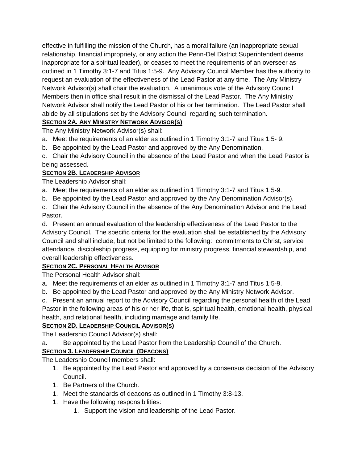effective in fulfilling the mission of the Church, has a moral failure (an inappropriate sexual relationship, financial impropriety, or any action the Penn-Del District Superintendent deems inappropriate for a spiritual leader), or ceases to meet the requirements of an overseer as outlined in 1 Timothy 3:1-7 and Titus 1:5-9. Any Advisory Council Member has the authority to request an evaluation of the effectiveness of the Lead Pastor at any time. The Any Ministry Network Advisor(s) shall chair the evaluation. A unanimous vote of the Advisory Council Members then in office shall result in the dismissal of the Lead Pastor. The Any Ministry Network Advisor shall notify the Lead Pastor of his or her termination. The Lead Pastor shall abide by all stipulations set by the Advisory Council regarding such termination.

#### **SECTION 2A. ANY MINISTRY NETWORK ADVISOR(S)**

The Any Ministry Network Advisor(s) shall:

- a. Meet the requirements of an elder as outlined in 1 Timothy 3:1-7 and Titus 1:5- 9.
- b. Be appointed by the Lead Pastor and approved by the Any Denomination.
- c. Chair the Advisory Council in the absence of the Lead Pastor and when the Lead Pastor is being assessed.

#### **SECTION 2B. LEADERSHIP ADVISOR**

The Leadership Advisor shall:

- a. Meet the requirements of an elder as outlined in 1 Timothy 3:1-7 and Titus 1:5-9.
- b. Be appointed by the Lead Pastor and approved by the Any Denomination Advisor(s).

c. Chair the Advisory Council in the absence of the Any Denomination Advisor and the Lead Pastor.

d. Present an annual evaluation of the leadership effectiveness of the Lead Pastor to the Advisory Council. The specific criteria for the evaluation shall be established by the Advisory Council and shall include, but not be limited to the following: commitments to Christ, service attendance, discipleship progress, equipping for ministry progress, financial stewardship, and overall leadership effectiveness.

#### **SECTION 2C. PERSONAL HEALTH ADVISOR**

The Personal Health Advisor shall:

- a. Meet the requirements of an elder as outlined in 1 Timothy 3:1-7 and Titus 1:5-9.
- b. Be appointed by the Lead Pastor and approved by the Any Ministry Network Advisor.

c. Present an annual report to the Advisory Council regarding the personal health of the Lead Pastor in the following areas of his or her life, that is, spiritual health, emotional health, physical health, and relational health, including marriage and family life.

#### **SECTION 2D. LEADERSHIP COUNCIL ADVISOR(S)**

The Leadership Council Advisor(s) shall:

a. Be appointed by the Lead Pastor from the Leadership Council of the Church.

#### **SECTION 3. LEADERSHIP COUNCIL (DEACONS)**

The Leadership Council members shall:

- 1. Be appointed by the Lead Pastor and approved by a consensus decision of the Advisory Council.
- 1. Be Partners of the Church.
- 1. Meet the standards of deacons as outlined in 1 Timothy 3:8-13.
- 1. Have the following responsibilities:
	- 1. Support the vision and leadership of the Lead Pastor.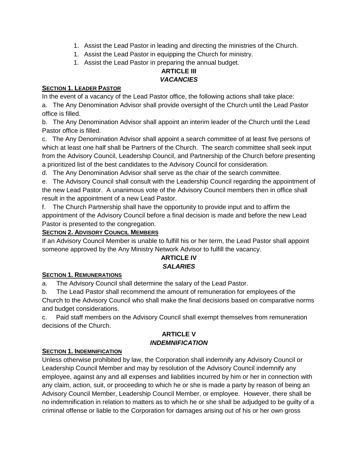- 1. Assist the Lead Pastor in leading and directing the ministries of the Church.
- 1. Assist the Lead Pastor in equipping the Church for ministry.
- 1. Assist the Lead Pastor in preparing the annual budget.

#### **ARTICLE III** *VACANCIES*

#### **SECTION 1. LEADER PASTOR**

In the event of a vacancy of the Lead Pastor office, the following actions shall take place:

a. The Any Denomination Advisor shall provide oversight of the Church until the Lead Pastor office is filled.

b. The Any Denomination Advisor shall appoint an interim leader of the Church until the Lead Pastor office is filled.

c. The Any Denomination Advisor shall appoint a search committee of at least five persons of which at least one half shall be Partners of the Church. The search committee shall seek input from the Advisory Council, Leadership Council, and Partnership of the Church before presenting a prioritized list of the best candidates to the Advisory Council for consideration.

d. The Any Denomination Advisor shall serve as the chair of the search committee.

e. The Advisory Council shall consult with the Leadership Council regarding the appointment of the new Lead Pastor. A unanimous vote of the Advisory Council members then in office shall result in the appointment of a new Lead Pastor.

f. The Church Partnership shall have the opportunity to provide input and to affirm the appointment of the Advisory Council before a final decision is made and before the new Lead Pastor is presented to the congregation.

#### **SECTION 2. ADVISORY COUNCIL MEMBERS**

If an Advisory Council Member is unable to fulfill his or her term, the Lead Pastor shall appoint someone approved by the Any Ministry Network Advisor to fulfill the vacancy.

#### **ARTICLE IV** *SALARIES*

#### **SECTION 1. REMUNERATIONS**

a. The Advisory Council shall determine the salary of the Lead Pastor.

b. The Lead Pastor shall recommend the amount of remuneration for employees of the Church to the Advisory Council who shall make the final decisions based on comparative norms and budget considerations.

c. Paid staff members on the Advisory Council shall exempt themselves from remuneration decisions of the Church.

#### **ARTICLE V** *INDEMNIFICATION*

#### **SECTION 1. INDEMNIFICATION**

Unless otherwise prohibited by law, the Corporation shall indemnify any Advisory Council or Leadership Council Member and may by resolution of the Advisory Council indemnify any employee, against any and all expenses and liabilities incurred by him or her in connection with any claim, action, suit, or proceeding to which he or she is made a party by reason of being an Advisory Council Member, Leadership Council Member, or employee. However, there shall be no indemnification in relation to matters as to which he or she shall be adjudged to be guilty of a criminal offense or liable to the Corporation for damages arising out of his or her own gross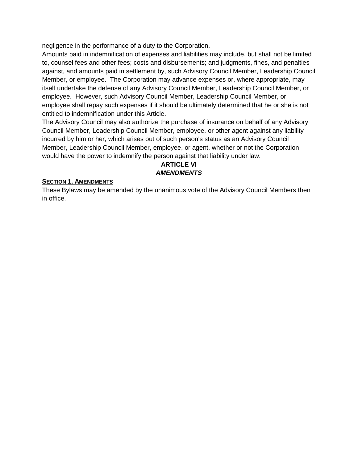negligence in the performance of a duty to the Corporation.

Amounts paid in indemnification of expenses and liabilities may include, but shall not be limited to, counsel fees and other fees; costs and disbursements; and judgments, fines, and penalties against, and amounts paid in settlement by, such Advisory Council Member, Leadership Council Member, or employee. The Corporation may advance expenses or, where appropriate, may itself undertake the defense of any Advisory Council Member, Leadership Council Member, or employee. However, such Advisory Council Member, Leadership Council Member, or employee shall repay such expenses if it should be ultimately determined that he or she is not entitled to indemnification under this Article.

The Advisory Council may also authorize the purchase of insurance on behalf of any Advisory Council Member, Leadership Council Member, employee, or other agent against any liability incurred by him or her, which arises out of such person's status as an Advisory Council Member, Leadership Council Member, employee, or agent, whether or not the Corporation would have the power to indemnify the person against that liability under law.

#### **ARTICLE VI** *AMENDMENTS*

#### **SECTION 1. AMENDMENTS**

These Bylaws may be amended by the unanimous vote of the Advisory Council Members then in office.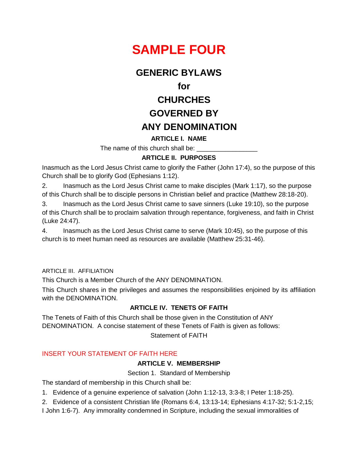

### **GENERIC BYLAWS**

 **for**

## **CHURCHES GOVERNED BY ANY DENOMINATION**

#### **ARTICLE I. NAME**

The name of this church shall be:

#### **ARTICLE II. PURPOSES**

Inasmuch as the Lord Jesus Christ came to glorify the Father (John 17:4), so the purpose of this Church shall be to glorify God (Ephesians 1:12).

2. Inasmuch as the Lord Jesus Christ came to make disciples (Mark 1:17), so the purpose of this Church shall be to disciple persons in Christian belief and practice (Matthew 28:18-20).

3. Inasmuch as the Lord Jesus Christ came to save sinners (Luke 19:10), so the purpose of this Church shall be to proclaim salvation through repentance, forgiveness, and faith in Christ (Luke 24:47).

4. Inasmuch as the Lord Jesus Christ came to serve (Mark 10:45), so the purpose of this church is to meet human need as resources are available (Matthew 25:31-46).

#### ARTICLE III. AFFILIATION

This Church is a Member Church of the ANY DENOMINATION.

This Church shares in the privileges and assumes the responsibilities enjoined by its affiliation with the DENOMINATION.

#### **ARTICLE IV. TENETS OF FAITH**

The Tenets of Faith of this Church shall be those given in the Constitution of ANY DENOMINATION. A concise statement of these Tenets of Faith is given as follows:

Statement of FAITH

#### INSERT YOUR STATEMENT OF FAITH HERE

#### **ARTICLE V. MEMBERSHIP**

Section 1. Standard of Membership

The standard of membership in this Church shall be:

1. Evidence of a genuine experience of salvation (John 1:12-13, 3:3-8; I Peter 1:18-25).

2. Evidence of a consistent Christian life (Romans 6:4, 13:13-14; Ephesians 4:17-32; 5:1-2,15;

I John 1:6-7). Any immorality condemned in Scripture, including the sexual immoralities of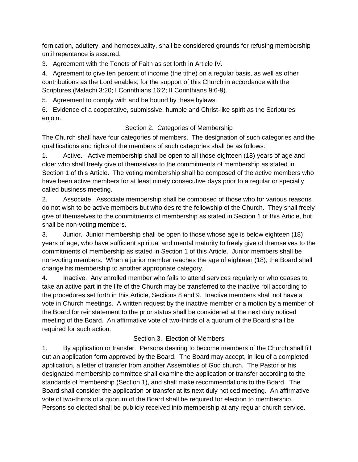fornication, adultery, and homosexuality, shall be considered grounds for refusing membership until repentance is assured.

3. Agreement with the Tenets of Faith as set forth in Article IV.

4. Agreement to give ten percent of income (the tithe) on a regular basis, as well as other contributions as the Lord enables, for the support of this Church in accordance with the Scriptures (Malachi 3:20; I Corinthians 16:2; II Corinthians 9:6-9).

5. Agreement to comply with and be bound by these bylaws.

6. Evidence of a cooperative, submissive, humble and Christ-like spirit as the Scriptures enjoin.

#### Section 2. Categories of Membership

The Church shall have four categories of members. The designation of such categories and the qualifications and rights of the members of such categories shall be as follows:

1. Active. Active membership shall be open to all those eighteen (18) years of age and older who shall freely give of themselves to the commitments of membership as stated in Section 1 of this Article. The voting membership shall be composed of the active members who have been active members for at least ninety consecutive days prior to a regular or specially called business meeting.

2. Associate. Associate membership shall be composed of those who for various reasons do not wish to be active members but who desire the fellowship of the Church. They shall freely give of themselves to the commitments of membership as stated in Section 1 of this Article, but shall be non-voting members.

3. Junior. Junior membership shall be open to those whose age is below eighteen (18) years of age, who have sufficient spiritual and mental maturity to freely give of themselves to the commitments of membership as stated in Section 1 of this Article. Junior members shall be non-voting members. When a junior member reaches the age of eighteen (18), the Board shall change his membership to another appropriate category.

4. Inactive. Any enrolled member who fails to attend services regularly or who ceases to take an active part in the life of the Church may be transferred to the inactive roll according to the procedures set forth in this Article, Sections 8 and 9. Inactive members shall not have a vote in Church meetings. A written request by the inactive member or a motion by a member of the Board for reinstatement to the prior status shall be considered at the next duly noticed meeting of the Board. An affirmative vote of two-thirds of a quorum of the Board shall be required for such action.

#### Section 3. Election of Members

1. By application or transfer. Persons desiring to become members of the Church shall fill out an application form approved by the Board. The Board may accept, in lieu of a completed application, a letter of transfer from another Assemblies of God church. The Pastor or his designated membership committee shall examine the application or transfer according to the standards of membership (Section 1), and shall make recommendations to the Board. The Board shall consider the application or transfer at its next duly noticed meeting. An affirmative vote of two-thirds of a quorum of the Board shall be required for election to membership. Persons so elected shall be publicly received into membership at any regular church service.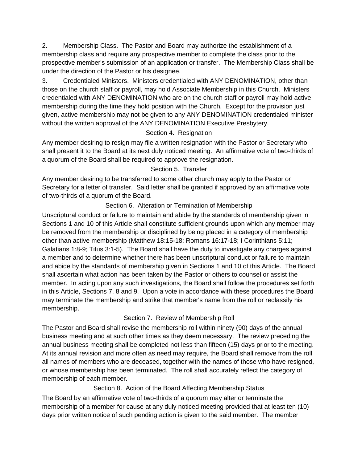2. Membership Class. The Pastor and Board may authorize the establishment of a membership class and require any prospective member to complete the class prior to the prospective member's submission of an application or transfer. The Membership Class shall be under the direction of the Pastor or his designee.

3. Credentialed Ministers. Ministers credentialed with ANY DENOMINATION, other than those on the church staff or payroll, may hold Associate Membership in this Church. Ministers credentialed with ANY DENOMINATION who are on the church staff or payroll may hold active membership during the time they hold position with the Church. Except for the provision just given, active membership may not be given to any ANY DENOMINATION credentialed minister without the written approval of the ANY DENOMINATION Executive Presbytery.

#### Section 4. Resignation

Any member desiring to resign may file a written resignation with the Pastor or Secretary who shall present it to the Board at its next duly noticed meeting. An affirmative vote of two-thirds of a quorum of the Board shall be required to approve the resignation.

#### Section 5. Transfer

Any member desiring to be transferred to some other church may apply to the Pastor or Secretary for a letter of transfer. Said letter shall be granted if approved by an affirmative vote of two-thirds of a quorum of the Board.

#### Section 6. Alteration or Termination of Membership

Unscriptural conduct or failure to maintain and abide by the standards of membership given in Sections 1 and 10 of this Article shall constitute sufficient grounds upon which any member may be removed from the membership or disciplined by being placed in a category of membership other than active membership (Matthew 18:15-18; Romans 16:17-18; I Corinthians 5:11; Galatians 1:8-9; Titus 3:1-5). The Board shall have the duty to investigate any charges against a member and to determine whether there has been unscriptural conduct or failure to maintain and abide by the standards of membership given in Sections 1 and 10 of this Article. The Board shall ascertain what action has been taken by the Pastor or others to counsel or assist the member. In acting upon any such investigations, the Board shall follow the procedures set forth in this Article, Sections 7, 8 and 9. Upon a vote in accordance with these procedures the Board may terminate the membership and strike that member's name from the roll or reclassify his membership.

#### Section 7. Review of Membership Roll

The Pastor and Board shall revise the membership roll within ninety (90) days of the annual business meeting and at such other times as they deem necessary. The review preceding the annual business meeting shall be completed not less than fifteen (15) days prior to the meeting. At its annual revision and more often as need may require, the Board shall remove from the roll all names of members who are deceased, together with the names of those who have resigned, or whose membership has been terminated. The roll shall accurately reflect the category of membership of each member.

#### Section 8. Action of the Board Affecting Membership Status

The Board by an affirmative vote of two-thirds of a quorum may alter or terminate the membership of a member for cause at any duly noticed meeting provided that at least ten (10) days prior written notice of such pending action is given to the said member. The member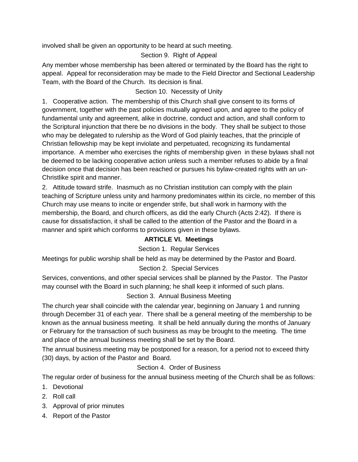involved shall be given an opportunity to be heard at such meeting.

#### Section 9. Right of Appeal

Any member whose membership has been altered or terminated by the Board has the right to appeal. Appeal for reconsideration may be made to the Field Director and Sectional Leadership Team, with the Board of the Church. Its decision is final.

#### Section 10. Necessity of Unity

1. Cooperative action. The membership of this Church shall give consent to its forms of government, together with the past policies mutually agreed upon, and agree to the policy of fundamental unity and agreement, alike in doctrine, conduct and action, and shall conform to the Scriptural injunction that there be no divisions in the body. They shall be subject to those who may be delegated to rulership as the Word of God plainly teaches, that the principle of Christian fellowship may be kept inviolate and perpetuated, recognizing its fundamental importance. A member who exercises the rights of membership given in these bylaws shall not be deemed to be lacking cooperative action unless such a member refuses to abide by a final decision once that decision has been reached or pursues his bylaw-created rights with an un-Christlike spirit and manner.

2. Attitude toward strife. Inasmuch as no Christian institution can comply with the plain teaching of Scripture unless unity and harmony predominates within its circle, no member of this Church may use means to incite or engender strife, but shall work in harmony with the membership, the Board, and church officers, as did the early Church (Acts 2:42). If there is cause for dissatisfaction, it shall be called to the attention of the Pastor and the Board in a manner and spirit which conforms to provisions given in these bylaws.

#### **ARTICLE VI. Meetings**

#### Section 1. Regular Services

Meetings for public worship shall be held as may be determined by the Pastor and Board.

#### Section 2. Special Services

Services, conventions, and other special services shall be planned by the Pastor. The Pastor may counsel with the Board in such planning; he shall keep it informed of such plans.

#### Section 3. Annual Business Meeting

The church year shall coincide with the calendar year, beginning on January 1 and running through December 31 of each year. There shall be a general meeting of the membership to be known as the annual business meeting. It shall be held annually during the months of January or February for the transaction of such business as may be brought to the meeting. The time and place of the annual business meeting shall be set by the Board.

The annual business meeting may be postponed for a reason, for a period not to exceed thirty (30) days, by action of the Pastor and Board.

#### Section 4. Order of Business

The regular order of business for the annual business meeting of the Church shall be as follows:

- 1. Devotional
- 2. Roll call
- 3. Approval of prior minutes
- 4. Report of the Pastor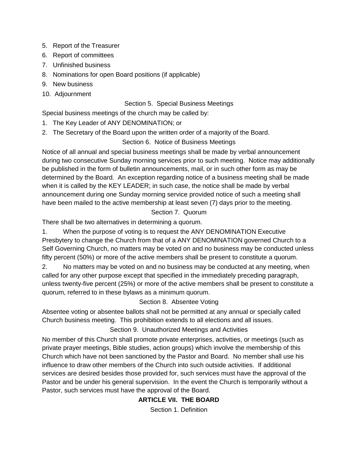- 5. Report of the Treasurer
- 6. Report of committees
- 7. Unfinished business
- 8. Nominations for open Board positions (if applicable)
- 9. New business
- 10. Adjournment

#### Section 5. Special Business Meetings

Special business meetings of the church may be called by:

- 1. The Key Leader of ANY DENOMINATION; or
- 2. The Secretary of the Board upon the written order of a majority of the Board.

#### Section 6. Notice of Business Meetings

Notice of all annual and special business meetings shall be made by verbal announcement during two consecutive Sunday morning services prior to such meeting. Notice may additionally be published in the form of bulletin announcements, mail, or in such other form as may be determined by the Board. An exception regarding notice of a business meeting shall be made when it is called by the KEY LEADER; in such case, the notice shall be made by verbal announcement during one Sunday morning service provided notice of such a meeting shall have been mailed to the active membership at least seven (7) days prior to the meeting.

#### Section 7. Quorum

There shall be two alternatives in determining a quorum.

1. When the purpose of voting is to request the ANY DENOMINATION Executive Presbytery to change the Church from that of a ANY DENOMINATION governed Church to a Self Governing Church, no matters may be voted on and no business may be conducted unless fifty percent (50%) or more of the active members shall be present to constitute a quorum.

2. No matters may be voted on and no business may be conducted at any meeting, when called for any other purpose except that specified in the immediately preceding paragraph, unless twenty-five percent (25%) or more of the active members shall be present to constitute a quorum, referred to in these bylaws as a minimum quorum.

Section 8. Absentee Voting

Absentee voting or absentee ballots shall not be permitted at any annual or specially called Church business meeting. This prohibition extends to all elections and all issues.

#### Section 9. Unauthorized Meetings and Activities

No member of this Church shall promote private enterprises, activities, or meetings (such as private prayer meetings, Bible studies, action groups) which involve the membership of this Church which have not been sanctioned by the Pastor and Board. No member shall use his influence to draw other members of the Church into such outside activities. If additional services are desired besides those provided for, such services must have the approval of the Pastor and be under his general supervision. In the event the Church is temporarily without a Pastor, such services must have the approval of the Board.

#### **ARTICLE VII. THE BOARD**

Section 1. Definition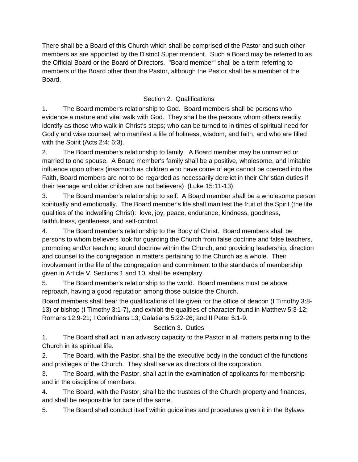There shall be a Board of this Church which shall be comprised of the Pastor and such other members as are appointed by the District Superintendent. Such a Board may be referred to as the Official Board or the Board of Directors. "Board member" shall be a term referring to members of the Board other than the Pastor, although the Pastor shall be a member of the Board.

#### Section 2. Qualifications

1. The Board member's relationship to God. Board members shall be persons who evidence a mature and vital walk with God. They shall be the persons whom others readily identify as those who walk in Christ's steps; who can be turned to in times of spiritual need for Godly and wise counsel; who manifest a life of holiness, wisdom, and faith, and who are filled with the Spirit (Acts 2:4; 6:3).

2. The Board member's relationship to family. A Board member may be unmarried or married to one spouse. A Board member's family shall be a positive, wholesome, and imitable influence upon others (inasmuch as children who have come of age cannot be coerced into the Faith, Board members are not to be regarded as necessarily derelict in their Christian duties if their teenage and older children are not believers) (Luke 15:11-13).

3. The Board member's relationship to self. A Board member shall be a wholesome person spiritually and emotionally. The Board member's life shall manifest the fruit of the Spirit (the life qualities of the indwelling Christ): love, joy, peace, endurance, kindness, goodness, faithfulness, gentleness, and self-control.

4. The Board member's relationship to the Body of Christ. Board members shall be persons to whom believers look for guarding the Church from false doctrine and false teachers, promoting and/or teaching sound doctrine within the Church, and providing leadership, direction and counsel to the congregation in matters pertaining to the Church as a whole. Their involvement in the life of the congregation and commitment to the standards of membership given in Article V, Sections 1 and 10, shall be exemplary.

5. The Board member's relationship to the world. Board members must be above reproach, having a good reputation among those outside the Church.

Board members shall bear the qualifications of life given for the office of deacon (I Timothy 3:8- 13) or bishop (I Timothy 3:1-7), and exhibit the qualities of character found in Matthew 5:3-12; Romans 12:9-21; I Corinthians 13; Galatians 5:22-26; and II Peter 5:1-9.

#### Section 3. Duties

1. The Board shall act in an advisory capacity to the Pastor in all matters pertaining to the Church in its spiritual life.

2. The Board, with the Pastor, shall be the executive body in the conduct of the functions and privileges of the Church. They shall serve as directors of the corporation.

3. The Board, with the Pastor, shall act in the examination of applicants for membership and in the discipline of members.

4. The Board, with the Pastor, shall be the trustees of the Church property and finances, and shall be responsible for care of the same.

5. The Board shall conduct itself within guidelines and procedures given it in the Bylaws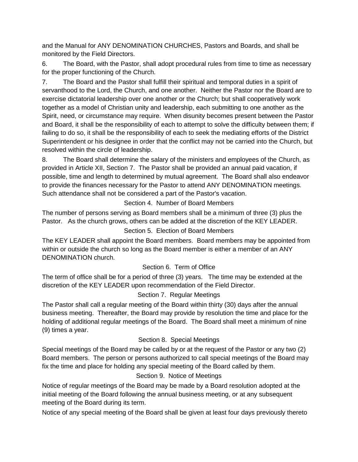and the Manual for ANY DENOMINATION CHURCHES, Pastors and Boards, and shall be monitored by the Field Directors.

6. The Board, with the Pastor, shall adopt procedural rules from time to time as necessary for the proper functioning of the Church.

7. The Board and the Pastor shall fulfill their spiritual and temporal duties in a spirit of servanthood to the Lord, the Church, and one another. Neither the Pastor nor the Board are to exercise dictatorial leadership over one another or the Church; but shall cooperatively work together as a model of Christian unity and leadership, each submitting to one another as the Spirit, need, or circumstance may require. When disunity becomes present between the Pastor and Board, it shall be the responsibility of each to attempt to solve the difficulty between them; if failing to do so, it shall be the responsibility of each to seek the mediating efforts of the District Superintendent or his designee in order that the conflict may not be carried into the Church, but resolved within the circle of leadership.

8. The Board shall determine the salary of the ministers and employees of the Church, as provided in Article XII, Section 7. The Pastor shall be provided an annual paid vacation, if possible, time and length to determined by mutual agreement. The Board shall also endeavor to provide the finances necessary for the Pastor to attend ANY DENOMINATION meetings. Such attendance shall not be considered a part of the Pastor's vacation.

Section 4. Number of Board Members

The number of persons serving as Board members shall be a minimum of three (3) plus the Pastor. As the church grows, others can be added at the discretion of the KEY LEADER.

#### Section 5. Election of Board Members

The KEY LEADER shall appoint the Board members. Board members may be appointed from within or outside the church so long as the Board member is either a member of an ANY DENOMINATION church.

#### Section 6. Term of Office

The term of office shall be for a period of three (3) years. The time may be extended at the discretion of the KEY LEADER upon recommendation of the Field Director.

#### Section 7. Regular Meetings

The Pastor shall call a regular meeting of the Board within thirty (30) days after the annual business meeting. Thereafter, the Board may provide by resolution the time and place for the holding of additional regular meetings of the Board. The Board shall meet a minimum of nine (9) times a year.

#### Section 8. Special Meetings

Special meetings of the Board may be called by or at the request of the Pastor or any two (2) Board members. The person or persons authorized to call special meetings of the Board may fix the time and place for holding any special meeting of the Board called by them.

#### Section 9. Notice of Meetings

Notice of regular meetings of the Board may be made by a Board resolution adopted at the initial meeting of the Board following the annual business meeting, or at any subsequent meeting of the Board during its term.

Notice of any special meeting of the Board shall be given at least four days previously thereto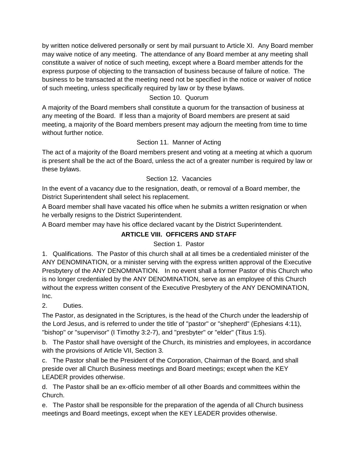by written notice delivered personally or sent by mail pursuant to Article XI. Any Board member may waive notice of any meeting. The attendance of any Board member at any meeting shall constitute a waiver of notice of such meeting, except where a Board member attends for the express purpose of objecting to the transaction of business because of failure of notice. The business to be transacted at the meeting need not be specified in the notice or waiver of notice of such meeting, unless specifically required by law or by these bylaws.

#### Section 10. Quorum

A majority of the Board members shall constitute a quorum for the transaction of business at any meeting of the Board. If less than a majority of Board members are present at said meeting, a majority of the Board members present may adjourn the meeting from time to time without further notice.

#### Section 11. Manner of Acting

The act of a majority of the Board members present and voting at a meeting at which a quorum is present shall be the act of the Board, unless the act of a greater number is required by law or these bylaws.

#### Section 12. Vacancies

In the event of a vacancy due to the resignation, death, or removal of a Board member, the District Superintendent shall select his replacement.

A Board member shall have vacated his office when he submits a written resignation or when he verbally resigns to the District Superintendent.

A Board member may have his office declared vacant by the District Superintendent.

#### **ARTICLE VIII. OFFICERS AND STAFF**

#### Section 1. Pastor

1. Qualifications. The Pastor of this church shall at all times be a credentialed minister of the ANY DENOMINATION, or a minister serving with the express written approval of the Executive Presbytery of the ANY DENOMINATION. In no event shall a former Pastor of this Church who is no longer credentialed by the ANY DENOMINATION, serve as an employee of this Church without the express written consent of the Executive Presbytery of the ANY DENOMINATION, Inc.

#### 2. Duties.

The Pastor, as designated in the Scriptures, is the head of the Church under the leadership of the Lord Jesus, and is referred to under the title of "pastor" or "shepherd" (Ephesians 4:11), "bishop" or "supervisor" (I Timothy 3:2-7), and "presbyter" or "elder" (Titus 1:5).

b. The Pastor shall have oversight of the Church, its ministries and employees, in accordance with the provisions of Article VII, Section 3.

c. The Pastor shall be the President of the Corporation, Chairman of the Board, and shall preside over all Church Business meetings and Board meetings; except when the KEY LEADER provides otherwise.

d. The Pastor shall be an ex-officio member of all other Boards and committees within the Church.

e. The Pastor shall be responsible for the preparation of the agenda of all Church business meetings and Board meetings, except when the KEY LEADER provides otherwise.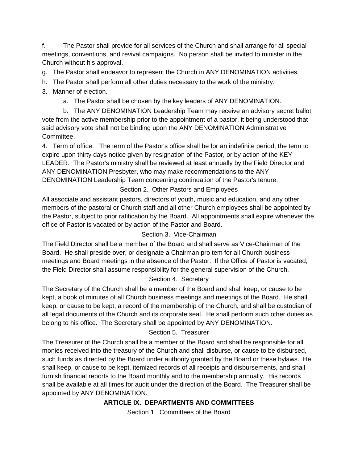f. The Pastor shall provide for all services of the Church and shall arrange for all special meetings, conventions, and revival campaigns. No person shall be invited to minister in the Church without his approval.

g. The Pastor shall endeavor to represent the Church in ANY DENOMINATION activities.

- h. The Pastor shall perform all other duties necessary to the work of the ministry.
- 3. Manner of election.
	- a. The Pastor shall be chosen by the key leaders of ANY DENOMINATION.

 b. The ANY DENOMINATION Leadership Team may receive an advisory secret ballot vote from the active membership prior to the appointment of a pastor, it being understood that said advisory vote shall not be binding upon the ANY DENOMINATION Administrative Committee.

4. Term of office. The term of the Pastor's office shall be for an indefinite period; the term to expire upon thirty days notice given by resignation of the Pastor, or by action of the KEY LEADER. The Pastor's ministry shall be reviewed at least annually by the Field Director and ANY DENOMINATION Presbyter, who may make recommendations to the ANY DENOMINATION Leadership Team concerning continuation of the Pastor's tenure.

#### Section 2. Other Pastors and Employees

All associate and assistant pastors, directors of youth, music and education, and any other members of the pastoral or Church staff and all other Church employees shall be appointed by the Pastor, subject to prior ratification by the Board. All appointments shall expire whenever the office of Pastor is vacated or by action of the Pastor and Board.

#### Section 3. Vice-Chairman

The Field Director shall be a member of the Board and shall serve as Vice-Chairman of the Board. He shall preside over, or designate a Chairman pro tem for all Church business meetings and Board meetings in the absence of the Pastor. If the Office of Pastor is vacated, the Field Director shall assume responsibility for the general supervision of the Church.

#### Section 4. Secretary

The Secretary of the Church shall be a member of the Board and shall keep, or cause to be kept, a book of minutes of all Church business meetings and meetings of the Board. He shall keep, or cause to be kept, a record of the membership of the Church, and shall be custodian of all legal documents of the Church and its corporate seal. He shall perform such other duties as belong to his office. The Secretary shall be appointed by ANY DENOMINATION.

#### Section 5. Treasurer

The Treasurer of the Church shall be a member of the Board and shall be responsible for all monies received into the treasury of the Church and shall disburse, or cause to be disbursed, such funds as directed by the Board under authority granted by the Board or these bylaws. He shall keep, or cause to be kept, itemized records of all receipts and disbursements, and shall furnish financial reports to the Board monthly and to the membership annually. His records shall be available at all times for audit under the direction of the Board. The Treasurer shall be appointed by ANY DENOMINATION.

#### **ARTICLE IX. DEPARTMENTS AND COMMITTEES**

Section 1. Committees of the Board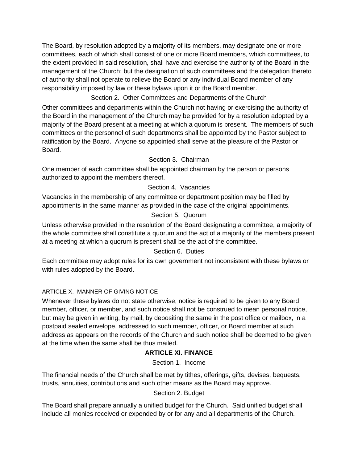The Board, by resolution adopted by a majority of its members, may designate one or more committees, each of which shall consist of one or more Board members, which committees, to the extent provided in said resolution, shall have and exercise the authority of the Board in the management of the Church; but the designation of such committees and the delegation thereto of authority shall not operate to relieve the Board or any individual Board member of any responsibility imposed by law or these bylaws upon it or the Board member.

Section 2. Other Committees and Departments of the Church

Other committees and departments within the Church not having or exercising the authority of the Board in the management of the Church may be provided for by a resolution adopted by a majority of the Board present at a meeting at which a quorum is present. The members of such committees or the personnel of such departments shall be appointed by the Pastor subject to ratification by the Board. Anyone so appointed shall serve at the pleasure of the Pastor or Board.

#### Section 3. Chairman

One member of each committee shall be appointed chairman by the person or persons authorized to appoint the members thereof.

#### Section 4. Vacancies

Vacancies in the membership of any committee or department position may be filled by appointments in the same manner as provided in the case of the original appointments.

#### Section 5. Quorum

Unless otherwise provided in the resolution of the Board designating a committee, a majority of the whole committee shall constitute a quorum and the act of a majority of the members present at a meeting at which a quorum is present shall be the act of the committee.

#### Section 6. Duties

Each committee may adopt rules for its own government not inconsistent with these bylaws or with rules adopted by the Board.

#### ARTICLE X. MANNER OF GIVING NOTICE

Whenever these bylaws do not state otherwise, notice is required to be given to any Board member, officer, or member, and such notice shall not be construed to mean personal notice, but may be given in writing, by mail, by depositing the same in the post office or mailbox, in a postpaid sealed envelope, addressed to such member, officer, or Board member at such address as appears on the records of the Church and such notice shall be deemed to be given at the time when the same shall be thus mailed.

#### **ARTICLE XI. FINANCE**

Section 1. Income

The financial needs of the Church shall be met by tithes, offerings, gifts, devises, bequests, trusts, annuities, contributions and such other means as the Board may approve.

Section 2. Budget

The Board shall prepare annually a unified budget for the Church. Said unified budget shall include all monies received or expended by or for any and all departments of the Church.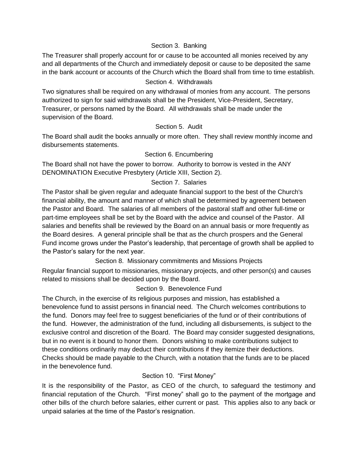#### Section 3. Banking

The Treasurer shall properly account for or cause to be accounted all monies received by any and all departments of the Church and immediately deposit or cause to be deposited the same in the bank account or accounts of the Church which the Board shall from time to time establish.

#### Section 4. Withdrawals

Two signatures shall be required on any withdrawal of monies from any account. The persons authorized to sign for said withdrawals shall be the President, Vice-President, Secretary, Treasurer, or persons named by the Board. All withdrawals shall be made under the supervision of the Board.

#### Section 5. Audit

The Board shall audit the books annually or more often. They shall review monthly income and disbursements statements.

#### Section 6. Encumbering

The Board shall not have the power to borrow. Authority to borrow is vested in the ANY DENOMINATION Executive Presbytery (Article XIII, Section 2).

#### Section 7. Salaries

The Pastor shall be given regular and adequate financial support to the best of the Church's financial ability, the amount and manner of which shall be determined by agreement between the Pastor and Board. The salaries of all members of the pastoral staff and other full-time or part-time employees shall be set by the Board with the advice and counsel of the Pastor. All salaries and benefits shall be reviewed by the Board on an annual basis or more frequently as the Board desires. A general principle shall be that as the church prospers and the General Fund income grows under the Pastor's leadership, that percentage of growth shall be applied to the Pastor's salary for the next year.

Section 8. Missionary commitments and Missions Projects

Regular financial support to missionaries, missionary projects, and other person(s) and causes related to missions shall be decided upon by the Board.

#### Section 9. Benevolence Fund

The Church, in the exercise of its religious purposes and mission, has established a benevolence fund to assist persons in financial need. The Church welcomes contributions to the fund. Donors may feel free to suggest beneficiaries of the fund or of their contributions of the fund. However, the administration of the fund, including all disbursements, is subject to the exclusive control and discretion of the Board. The Board may consider suggested designations, but in no event is it bound to honor them. Donors wishing to make contributions subject to these conditions ordinarily may deduct their contributions if they itemize their deductions. Checks should be made payable to the Church, with a notation that the funds are to be placed in the benevolence fund.

#### Section 10. "First Money"

It is the responsibility of the Pastor, as CEO of the church, to safeguard the testimony and financial reputation of the Church. "First money" shall go to the payment of the mortgage and other bills of the church before salaries, either current or past. This applies also to any back or unpaid salaries at the time of the Pastor's resignation.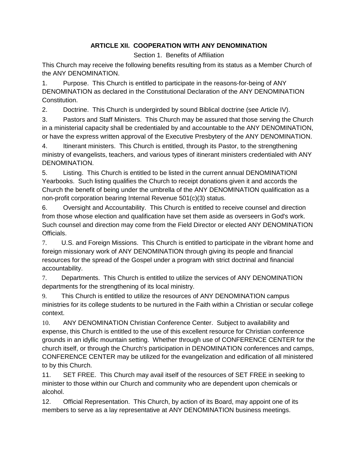#### **ARTICLE XII. COOPERATION WITH ANY DENOMINATION**

Section 1. Benefits of Affiliation

This Church may receive the following benefits resulting from its status as a Member Church of the ANY DENOMINATION.

1. Purpose. This Church is entitled to participate in the reasons-for-being of ANY DENOMINATION as declared in the Constitutional Declaration of the ANY DENOMINATION Constitution.

2. Doctrine. This Church is undergirded by sound Biblical doctrine (see Article IV).

3. Pastors and Staff Ministers. This Church may be assured that those serving the Church in a ministerial capacity shall be credentialed by and accountable to the ANY DENOMINATION, or have the express written approval of the Executive Presbytery of the ANY DENOMINATION.

4. Itinerant ministers. This Church is entitled, through its Pastor, to the strengthening ministry of evangelists, teachers, and various types of itinerant ministers credentialed with ANY DENOMINATION.

5. Listing. This Church is entitled to be listed in the current annual DENOMINATIONl Yearbooks. Such listing qualifies the Church to receipt donations given it and accords the Church the benefit of being under the umbrella of the ANY DENOMINATION qualification as a non-profit corporation bearing Internal Revenue 501(c)(3) status.

6. Oversight and Accountability. This Church is entitled to receive counsel and direction from those whose election and qualification have set them aside as overseers in God's work. Such counsel and direction may come from the Field Director or elected ANY DENOMINATION Officials.

7. U.S. and Foreign Missions. This Church is entitled to participate in the vibrant home and foreign missionary work of ANY DENOMINATION through giving its people and financial resources for the spread of the Gospel under a program with strict doctrinal and financial accountability.

7. Departments. This Church is entitled to utilize the services of ANY DENOMINATION departments for the strengthening of its local ministry.

9. This Church is entitled to utilize the resources of ANY DENOMINATION campus ministries for its college students to be nurtured in the Faith within a Christian or secular college context.

10. ANY DENOMINATION Christian Conference Center. Subject to availability and expense, this Church is entitled to the use of this excellent resource for Christian conference grounds in an idyllic mountain setting. Whether through use of CONFERENCE CENTER for the church itself, or through the Church's participation in DENOMINATION conferences and camps, CONFERENCE CENTER may be utilized for the evangelization and edification of all ministered to by this Church.

11. SET FREE. This Church may avail itself of the resources of SET FREE in seeking to minister to those within our Church and community who are dependent upon chemicals or alcohol.

12. Official Representation. This Church, by action of its Board, may appoint one of its members to serve as a lay representative at ANY DENOMINATION business meetings.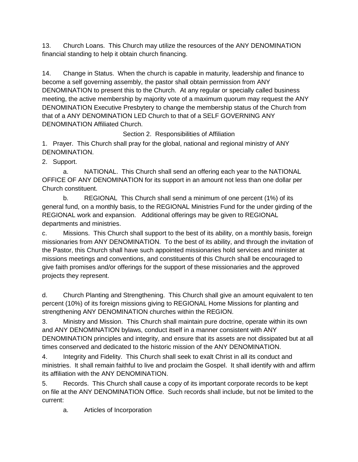13. Church Loans. This Church may utilize the resources of the ANY DENOMINATION financial standing to help it obtain church financing.

14. Change in Status. When the church is capable in maturity, leadership and finance to become a self governing assembly, the pastor shall obtain permission from ANY DENOMINATION to present this to the Church. At any regular or specially called business meeting, the active membership by majority vote of a maximum quorum may request the ANY DENOMINATION Executive Presbytery to change the membership status of the Church from that of a ANY DENOMINATION LED Church to that of a SELF GOVERNING ANY DENOMINATION Affiliated Church.

Section 2. Responsibilities of Affiliation

1. Prayer. This Church shall pray for the global, national and regional ministry of ANY DENOMINATION.

2. Support.

 a. NATIONAL. This Church shall send an offering each year to the NATIONAL OFFICE OF ANY DENOMINATION for its support in an amount not less than one dollar per Church constituent.

 b. REGIONAL This Church shall send a minimum of one percent (1%) of its general fund, on a monthly basis, to the REGIONAL Ministries Fund for the under girding of the REGIONAL work and expansion. Additional offerings may be given to REGIONAL departments and ministries.

c. Missions. This Church shall support to the best of its ability, on a monthly basis, foreign missionaries from ANY DENOMINATION. To the best of its ability, and through the invitation of the Pastor, this Church shall have such appointed missionaries hold services and minister at missions meetings and conventions, and constituents of this Church shall be encouraged to give faith promises and/or offerings for the support of these missionaries and the approved projects they represent.

d. Church Planting and Strengthening. This Church shall give an amount equivalent to ten percent (10%) of its foreign missions giving to REGIONAL Home Missions for planting and strengthening ANY DENOMINATION churches within the REGION.

3. Ministry and Mission. This Church shall maintain pure doctrine, operate within its own and ANY DENOMINATION bylaws, conduct itself in a manner consistent with ANY DENOMINATION principles and integrity, and ensure that its assets are not dissipated but at all times conserved and dedicated to the historic mission of the ANY DENOMINATION.

4. Integrity and Fidelity. This Church shall seek to exalt Christ in all its conduct and ministries. It shall remain faithful to live and proclaim the Gospel. It shall identify with and affirm its affiliation with the ANY DENOMINATION.

5. Records. This Church shall cause a copy of its important corporate records to be kept on file at the ANY DENOMINATION Office. Such records shall include, but not be limited to the current:

a. Articles of Incorporation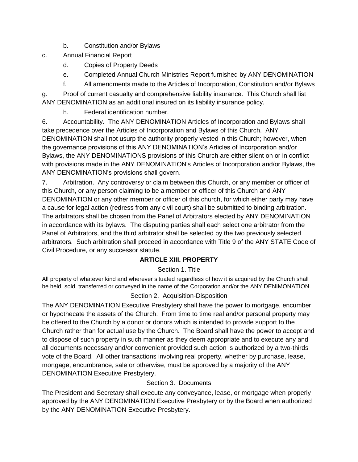- b. Constitution and/or Bylaws
- c. Annual Financial Report
	- d. Copies of Property Deeds
	- e. Completed Annual Church Ministries Report furnished by ANY DENOMINATION
	- f. All amendments made to the Articles of Incorporation, Constitution and/or Bylaws

g. Proof of current casualty and comprehensive liability insurance. This Church shall list ANY DENOMINATION as an additional insured on its liability insurance policy.

h. Federal identification number.

6. Accountability. The ANY DENOMINATION Articles of Incorporation and Bylaws shall take precedence over the Articles of Incorporation and Bylaws of this Church. ANY DENOMINATION shall not usurp the authority properly vested in this Church; however, when the governance provisions of this ANY DENOMINATION's Articles of Incorporation and/or Bylaws, the ANY DENOMINATIONS provisions of this Church are either silent on or in conflict with provisions made in the ANY DENOMINATION's Articles of Incorporation and/or Bylaws, the ANY DENOMINATION's provisions shall govern.

7. Arbitration. Any controversy or claim between this Church, or any member or officer of this Church, or any person claiming to be a member or officer of this Church and ANY DENOMINATION or any other member or officer of this church, for which either party may have a cause for legal action (redress from any civil court) shall be submitted to binding arbitration. The arbitrators shall be chosen from the Panel of Arbitrators elected by ANY DENOMINATION in accordance with its bylaws. The disputing parties shall each select one arbitrator from the Panel of Arbitrators, and the third arbitrator shall be selected by the two previously selected arbitrators. Such arbitration shall proceed in accordance with Title 9 of the ANY STATE Code of Civil Procedure, or any successor statute.

#### **ARTICLE XIII. PROPERTY**

#### Section 1. Title

All property of whatever kind and wherever situated regardless of how it is acquired by the Church shall be held, sold, transferred or conveyed in the name of the Corporation and/or the ANY DENIMONATION.

#### Section 2. Acquisition-Disposition

The ANY DENOMINATION Executive Presbytery shall have the power to mortgage, encumber or hypothecate the assets of the Church. From time to time real and/or personal property may be offered to the Church by a donor or donors which is intended to provide support to the Church rather than for actual use by the Church. The Board shall have the power to accept and to dispose of such property in such manner as they deem appropriate and to execute any and all documents necessary and/or convenient provided such action is authorized by a two-thirds vote of the Board. All other transactions involving real property, whether by purchase, lease, mortgage, encumbrance, sale or otherwise, must be approved by a majority of the ANY DENOMINATION Executive Presbytery.

#### Section 3. Documents

The President and Secretary shall execute any conveyance, lease, or mortgage when properly approved by the ANY DENOMINATION Executive Presbytery or by the Board when authorized by the ANY DENOMINATION Executive Presbytery.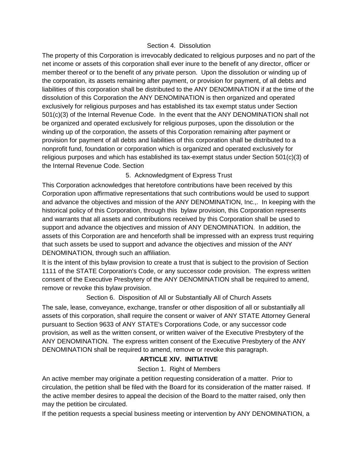#### Section 4. Dissolution

The property of this Corporation is irrevocably dedicated to religious purposes and no part of the net income or assets of this corporation shall ever inure to the benefit of any director, officer or member thereof or to the benefit of any private person. Upon the dissolution or winding up of the corporation, its assets remaining after payment, or provision for payment, of all debts and liabilities of this corporation shall be distributed to the ANY DENOMINATION if at the time of the dissolution of this Corporation the ANY DENOMINATION is then organized and operated exclusively for religious purposes and has established its tax exempt status under Section 501(c)(3) of the Internal Revenue Code. In the event that the ANY DENOMINATION shall not be organized and operated exclusively for religious purposes, upon the dissolution or the winding up of the corporation, the assets of this Corporation remaining after payment or provision for payment of all debts and liabilities of this corporation shall be distributed to a nonprofit fund, foundation or corporation which is organized and operated exclusively for religious purposes and which has established its tax-exempt status under Section 501(c)(3) of the Internal Revenue Code. Section

#### 5. Acknowledgment of Express Trust

This Corporation acknowledges that heretofore contributions have been received by this Corporation upon affirmative representations that such contributions would be used to support and advance the objectives and mission of the ANY DENOMINATION, Inc.,. In keeping with the historical policy of this Corporation, through this bylaw provision, this Corporation represents and warrants that all assets and contributions received by this Corporation shall be used to support and advance the objectives and mission of ANY DENOMINATION. In addition, the assets of this Corporation are and henceforth shall be impressed with an express trust requiring that such assets be used to support and advance the objectives and mission of the ANY DENOMINATION, through such an affiliation.

It is the intent of this bylaw provision to create a trust that is subject to the provision of Section 1111 of the STATE Corporation's Code, or any successor code provision. The express written consent of the Executive Presbytery of the ANY DENOMINATION shall be required to amend, remove or revoke this bylaw provision.

#### Section 6. Disposition of All or Substantially All of Church Assets

The sale, lease, conveyance, exchange, transfer or other disposition of all or substantially all assets of this corporation, shall require the consent or waiver of ANY STATE Attorney General pursuant to Section 9633 of ANY STATE's Corporations Code, or any successor code provision, as well as the written consent, or written waiver of the Executive Presbytery of the ANY DENOMINATION. The express written consent of the Executive Presbytery of the ANY DENOMINATION shall be required to amend, remove or revoke this paragraph.

#### **ARTICLE XIV. INITIATIVE**

#### Section 1. Right of Members

An active member may originate a petition requesting consideration of a matter. Prior to circulation, the petition shall be filed with the Board for its consideration of the matter raised. If the active member desires to appeal the decision of the Board to the matter raised, only then may the petition be circulated.

If the petition requests a special business meeting or intervention by ANY DENOMINATION, a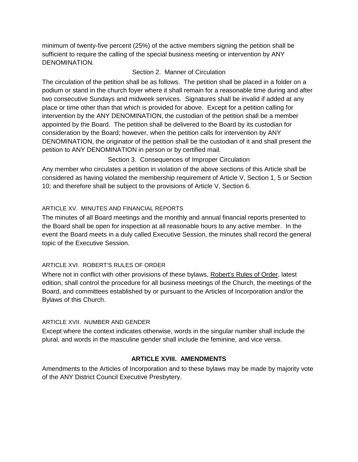minimum of twenty-five percent (25%) of the active members signing the petition shall be sufficient to require the calling of the special business meeting or intervention by ANY DENOMINATION.

#### Section 2. Manner of Circulation

The circulation of the petition shall be as follows. The petition shall be placed in a folder on a podium or stand in the church foyer where it shall remain for a reasonable time during and after two consecutive Sundays and midweek services. Signatures shall be invalid if added at any place or time other than that which is provided for above. Except for a petition calling for intervention by the ANY DENOMINATION, the custodian of the petition shall be a member appointed by the Board. The petition shall be delivered to the Board by its custodian for consideration by the Board; however, when the petition calls for intervention by ANY DENOMINATION, the originator of the petition shall be the custodian of it and shall present the petition to ANY DENOMINATION in person or by certified mail.

#### Section 3. Consequences of Improper Circulation

Any member who circulates a petition in violation of the above sections of this Article shall be considered as having violated the membership requirement of Article V, Section 1, 5 or Section 10; and therefore shall be subject to the provisions of Article V, Section 6.

#### ARTICLE XV. MINUTES AND FINANCIAL REPORTS

The minutes of all Board meetings and the monthly and annual financial reports presented to the Board shall be open for inspection at all reasonable hours to any active member. In the event the Board meets in a duly called Executive Session, the minutes shall record the general topic of the Executive Session.

#### ARTICLE XVI. ROBERT'S RULES OF ORDER

Where not in conflict with other provisions of these bylaws, Robert's Rules of Order, latest edition, shall control the procedure for all business meetings of the Church, the meetings of the Board, and committees established by or pursuant to the Articles of Incorporation and/or the Bylaws of this Church.

#### ARTICLE XVII. NUMBER AND GENDER

Except where the context indicates otherwise, words in the singular number shall include the plural, and words in the masculine gender shall include the feminine, and vice versa.

#### **ARTICLE XVIII. AMENDMENTS**

Amendments to the Articles of Incorporation and to these bylaws may be made by majority vote of the ANY District Council Executive Presbytery.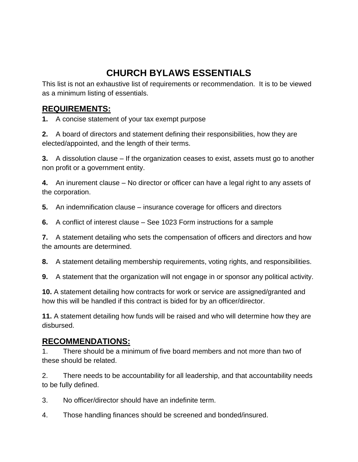## **CHURCH BYLAWS ESSENTIALS**

This list is not an exhaustive list of requirements or recommendation. It is to be viewed as a minimum listing of essentials.

### **REQUIREMENTS:**

**1.** A concise statement of your tax exempt purpose

**2.** A board of directors and statement defining their responsibilities, how they are elected/appointed, and the length of their terms.

**3.** A dissolution clause – If the organization ceases to exist, assets must go to another non profit or a government entity.

**4.** An inurement clause – No director or officer can have a legal right to any assets of the corporation.

**5.** An indemnification clause – insurance coverage for officers and directors

**6.** A conflict of interest clause – See 1023 Form instructions for a sample

**7.** A statement detailing who sets the compensation of officers and directors and how the amounts are determined.

**8.** A statement detailing membership requirements, voting rights, and responsibilities.

**9.** A statement that the organization will not engage in or sponsor any political activity.

**10.** A statement detailing how contracts for work or service are assigned/granted and how this will be handled if this contract is bided for by an officer/director.

**11.** A statement detailing how funds will be raised and who will determine how they are disbursed.

### **RECOMMENDATIONS:**

1. There should be a minimum of five board members and not more than two of these should be related.

2. There needs to be accountability for all leadership, and that accountability needs to be fully defined.

3. No officer/director should have an indefinite term.

4. Those handling finances should be screened and bonded/insured.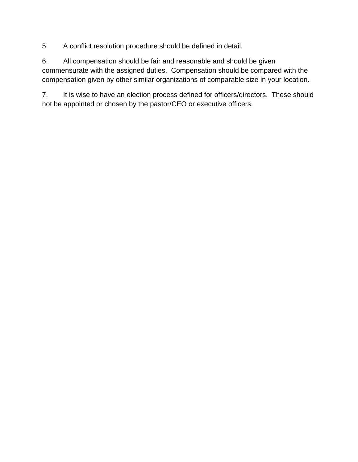5. A conflict resolution procedure should be defined in detail.

6. All compensation should be fair and reasonable and should be given commensurate with the assigned duties. Compensation should be compared with the compensation given by other similar organizations of comparable size in your location.

7. It is wise to have an election process defined for officers/directors. These should not be appointed or chosen by the pastor/CEO or executive officers.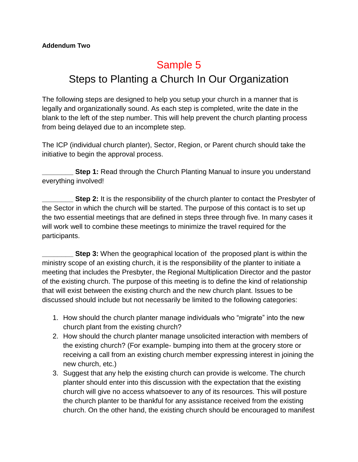## Sample 5 Steps to Planting a Church In Our Organization

The following steps are designed to help you setup your church in a manner that is legally and organizationally sound. As each step is completed, write the date in the blank to the left of the step number. This will help prevent the church planting process from being delayed due to an incomplete step.

The ICP (individual church planter), Sector, Region, or Parent church should take the initiative to begin the approval process.

**Step 1:** Read through the Church Planting Manual to insure you understand everything involved!

**Step 2:** It is the responsibility of the church planter to contact the Presbyter of the Sector in which the church will be started. The purpose of this contact is to set up the two essential meetings that are defined in steps three through five. In many cases it will work well to combine these meetings to minimize the travel required for the participants.

**Step 3:** When the geographical location of the proposed plant is within the ministry scope of an existing church, it is the responsibility of the planter to initiate a meeting that includes the Presbyter, the Regional Multiplication Director and the pastor of the existing church. The purpose of this meeting is to define the kind of relationship that will exist between the existing church and the new church plant. Issues to be discussed should include but not necessarily be limited to the following categories:

- 1. How should the church planter manage individuals who "migrate" into the new church plant from the existing church?
- 2. How should the church planter manage unsolicited interaction with members of the existing church? (For example- bumping into them at the grocery store or receiving a call from an existing church member expressing interest in joining the new church, etc.)
- 3. Suggest that any help the existing church can provide is welcome. The church planter should enter into this discussion with the expectation that the existing church will give no access whatsoever to any of its resources. This will posture the church planter to be thankful for any assistance received from the existing church. On the other hand, the existing church should be encouraged to manifest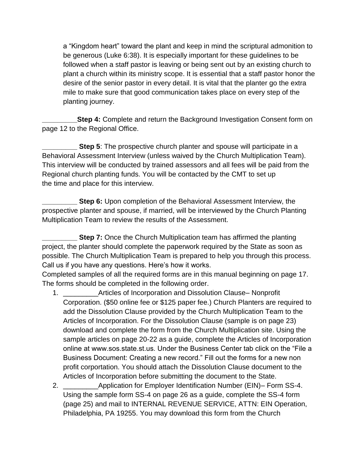a "Kingdom heart" toward the plant and keep in mind the scriptural admonition to be generous (Luke 6:38). It is especially important for these guidelines to be followed when a staff pastor is leaving or being sent out by an existing church to plant a church within its ministry scope. It is essential that a staff pastor honor the desire of the senior pastor in every detail. It is vital that the planter go the extra mile to make sure that good communication takes place on every step of the planting journey.

**Step 4:** Complete and return the Background Investigation Consent form on page 12 to the Regional Office.

**Step 5**: The prospective church planter and spouse will participate in a Behavioral Assessment Interview (unless waived by the Church Multiplication Team). This interview will be conducted by trained assessors and all fees will be paid from the Regional church planting funds. You will be contacted by the CMT to set up the time and place for this interview.

**Step 6:** Upon completion of the Behavioral Assessment Interview, the prospective planter and spouse, if married, will be interviewed by the Church Planting Multiplication Team to review the results of the Assessment.

**Step 7:** Once the Church Multiplication team has affirmed the planting project, the planter should complete the paperwork required by the State as soon as possible. The Church Multiplication Team is prepared to help you through this process. Call us if you have any questions. Here's how it works.

Completed samples of all the required forms are in this manual beginning on page 17. The forms should be completed in the following order.

- 1. \_\_\_\_\_\_\_\_\_Articles of Incorporation and Dissolution Clause– Nonprofit Corporation. (\$50 online fee or \$125 paper fee.) Church Planters are required to add the Dissolution Clause provided by the Church Multiplication Team to the Articles of Incorporation. For the Dissolution Clause (sample is on page 23) download and complete the form from the Church Multiplication site. Using the sample articles on page 20-22 as a guide, complete the Articles of Incorporation online at www.sos.state.st.us. Under the Business Center tab click on the "File a Business Document: Creating a new record." Fill out the forms for a new non profit corportation. You should attach the Dissolution Clause document to the Articles of Incorporation before submitting the document to the State.
- 2. Application for Employer Identification Number (EIN)– Form SS-4. Using the sample form SS-4 on page 26 as a guide, complete the SS-4 form (page 25) and mail to INTERNAL REVENUE SERVICE, ATTN: EIN Operation, Philadelphia, PA 19255. You may download this form from the Church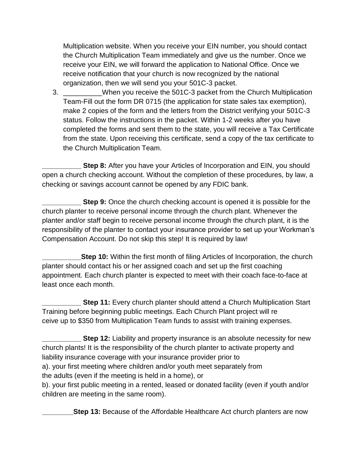Multiplication website. When you receive your EIN number, you should contact the Church Multiplication Team immediately and give us the number. Once we receive your EIN, we will forward the application to National Office. Once we receive notification that your church is now recognized by the national organization, then we will send you your 501C-3 packet.

3. \_\_\_\_\_\_\_\_\_\_When you receive the 501C-3 packet from the Church Multiplication Team-Fill out the form DR 0715 (the application for state sales tax exemption), make 2 copies of the form and the letters from the District verifying your 501C-3 status. Follow the instructions in the packet. Within 1-2 weeks after you have completed the forms and sent them to the state, you will receive a Tax Certificate from the state. Upon receiving this certificate, send a copy of the tax certificate to the Church Multiplication Team.

**Step 8:** After you have your Articles of Incorporation and EIN, you should open a church checking account. Without the completion of these procedures, by law, a checking or savings account cannot be opened by any FDIC bank.

**Step 9:** Once the church checking account is opened it is possible for the church planter to receive personal income through the church plant. Whenever the planter and/or staff begin to receive personal income through the church plant, it is the responsibility of the planter to contact your insurance provider to set up your Workman's Compensation Account. Do not skip this step! It is required by law!

**Step 10:** Within the first month of filing Articles of Incorporation, the church planter should contact his or her assigned coach and set up the first coaching appointment. Each church planter is expected to meet with their coach face-to-face at least once each month.

**Step 11:** Every church planter should attend a Church Multiplication Start Training before beginning public meetings. Each Church Plant project will re ceive up to \$350 from Multiplication Team funds to assist with training expenses.

**Step 12:** Liability and property insurance is an absolute necessity for new church plants! It is the responsibility of the church planter to activate property and liability insurance coverage with your insurance provider prior to a). your first meeting where children and/or youth meet separately from the adults (even if the meeting is held in a home), or b). your first public meeting in a rented, leased or donated facility (even if youth and/or children are meeting in the same room).

**\_\_\_\_\_\_\_\_Step 13:** Because of the Affordable Healthcare Act church planters are now